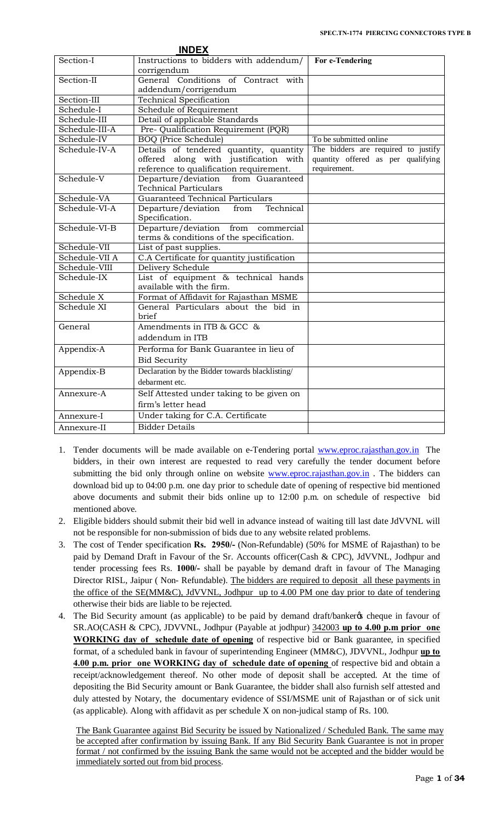| Section-I<br>Instructions to bidders with addendum/<br>For e-Tendering<br>corrigendum<br>General Conditions of Contract with<br>Section-II<br>addendum/corrigendum<br>Section-III<br>Technical Specification<br>Schedule-I<br>Schedule of Requirement<br>Schedule- $\overline{\text{III}}$<br>Detail of applicable Standards<br>Schedule-III-A<br>Pre- Qualification Requirement (PQR)<br>To be submitted online<br>Schedule-IV<br><b>BOQ</b> (Price Schedule)<br>Details of tendered quantity, quantity<br>The bidders are required to justify<br>Schedule-IV-A<br>quantity offered as per qualifying<br>offered along with justification with<br>reference to qualification requirement.<br>requirement.<br>Schedule-V<br>Departure/deviation<br>from Guaranteed<br><b>Technical Particulars</b><br><b>Guaranteed Technical Particulars</b><br>Schedule-VA<br>Schedule-VI-A<br>Technical<br>Departure/deviation<br>from<br>Specification.<br>Schedule-VI-B<br>Departure/deviation from commercial<br>terms & conditions of the specification.<br>Schedule-VII<br>List of past supplies.<br>C.A Certificate for quantity justification<br>Schedule-VII A<br>Schedule-VIII<br>Delivery Schedule<br>List of equipment & technical hands<br>Schedule-IX<br>available with the firm.<br>Schedule X<br>Format of Affidavit for Rajasthan MSME<br>Schedule XI<br>General Particulars about the bid in<br><b>brief</b><br>Amendments in ITB & GCC &<br>General<br>addendum in ITB<br>Performa for Bank Guarantee in lieu of<br>Appendix-A<br><b>Bid Security</b><br>Appendix-B<br>Declaration by the Bidder towards blacklisting/<br>debarment etc.<br>Self Attested under taking to be given on<br>Annexure-A<br>firm's letter head<br>Under taking for C.A. Certificate<br>Annexure-I<br><b>Bidder Details</b><br>Annexure-II | <b>INDEX</b> |  |
|---------------------------------------------------------------------------------------------------------------------------------------------------------------------------------------------------------------------------------------------------------------------------------------------------------------------------------------------------------------------------------------------------------------------------------------------------------------------------------------------------------------------------------------------------------------------------------------------------------------------------------------------------------------------------------------------------------------------------------------------------------------------------------------------------------------------------------------------------------------------------------------------------------------------------------------------------------------------------------------------------------------------------------------------------------------------------------------------------------------------------------------------------------------------------------------------------------------------------------------------------------------------------------------------------------------------------------------------------------------------------------------------------------------------------------------------------------------------------------------------------------------------------------------------------------------------------------------------------------------------------------------------------------------------------------------------------------------------------------------------------------------------------------------------------------------------------|--------------|--|
|                                                                                                                                                                                                                                                                                                                                                                                                                                                                                                                                                                                                                                                                                                                                                                                                                                                                                                                                                                                                                                                                                                                                                                                                                                                                                                                                                                                                                                                                                                                                                                                                                                                                                                                                                                                                                           |              |  |
|                                                                                                                                                                                                                                                                                                                                                                                                                                                                                                                                                                                                                                                                                                                                                                                                                                                                                                                                                                                                                                                                                                                                                                                                                                                                                                                                                                                                                                                                                                                                                                                                                                                                                                                                                                                                                           |              |  |
|                                                                                                                                                                                                                                                                                                                                                                                                                                                                                                                                                                                                                                                                                                                                                                                                                                                                                                                                                                                                                                                                                                                                                                                                                                                                                                                                                                                                                                                                                                                                                                                                                                                                                                                                                                                                                           |              |  |
|                                                                                                                                                                                                                                                                                                                                                                                                                                                                                                                                                                                                                                                                                                                                                                                                                                                                                                                                                                                                                                                                                                                                                                                                                                                                                                                                                                                                                                                                                                                                                                                                                                                                                                                                                                                                                           |              |  |
|                                                                                                                                                                                                                                                                                                                                                                                                                                                                                                                                                                                                                                                                                                                                                                                                                                                                                                                                                                                                                                                                                                                                                                                                                                                                                                                                                                                                                                                                                                                                                                                                                                                                                                                                                                                                                           |              |  |
|                                                                                                                                                                                                                                                                                                                                                                                                                                                                                                                                                                                                                                                                                                                                                                                                                                                                                                                                                                                                                                                                                                                                                                                                                                                                                                                                                                                                                                                                                                                                                                                                                                                                                                                                                                                                                           |              |  |
|                                                                                                                                                                                                                                                                                                                                                                                                                                                                                                                                                                                                                                                                                                                                                                                                                                                                                                                                                                                                                                                                                                                                                                                                                                                                                                                                                                                                                                                                                                                                                                                                                                                                                                                                                                                                                           |              |  |
|                                                                                                                                                                                                                                                                                                                                                                                                                                                                                                                                                                                                                                                                                                                                                                                                                                                                                                                                                                                                                                                                                                                                                                                                                                                                                                                                                                                                                                                                                                                                                                                                                                                                                                                                                                                                                           |              |  |
|                                                                                                                                                                                                                                                                                                                                                                                                                                                                                                                                                                                                                                                                                                                                                                                                                                                                                                                                                                                                                                                                                                                                                                                                                                                                                                                                                                                                                                                                                                                                                                                                                                                                                                                                                                                                                           |              |  |
|                                                                                                                                                                                                                                                                                                                                                                                                                                                                                                                                                                                                                                                                                                                                                                                                                                                                                                                                                                                                                                                                                                                                                                                                                                                                                                                                                                                                                                                                                                                                                                                                                                                                                                                                                                                                                           |              |  |
|                                                                                                                                                                                                                                                                                                                                                                                                                                                                                                                                                                                                                                                                                                                                                                                                                                                                                                                                                                                                                                                                                                                                                                                                                                                                                                                                                                                                                                                                                                                                                                                                                                                                                                                                                                                                                           |              |  |
|                                                                                                                                                                                                                                                                                                                                                                                                                                                                                                                                                                                                                                                                                                                                                                                                                                                                                                                                                                                                                                                                                                                                                                                                                                                                                                                                                                                                                                                                                                                                                                                                                                                                                                                                                                                                                           |              |  |
|                                                                                                                                                                                                                                                                                                                                                                                                                                                                                                                                                                                                                                                                                                                                                                                                                                                                                                                                                                                                                                                                                                                                                                                                                                                                                                                                                                                                                                                                                                                                                                                                                                                                                                                                                                                                                           |              |  |
|                                                                                                                                                                                                                                                                                                                                                                                                                                                                                                                                                                                                                                                                                                                                                                                                                                                                                                                                                                                                                                                                                                                                                                                                                                                                                                                                                                                                                                                                                                                                                                                                                                                                                                                                                                                                                           |              |  |
|                                                                                                                                                                                                                                                                                                                                                                                                                                                                                                                                                                                                                                                                                                                                                                                                                                                                                                                                                                                                                                                                                                                                                                                                                                                                                                                                                                                                                                                                                                                                                                                                                                                                                                                                                                                                                           |              |  |
|                                                                                                                                                                                                                                                                                                                                                                                                                                                                                                                                                                                                                                                                                                                                                                                                                                                                                                                                                                                                                                                                                                                                                                                                                                                                                                                                                                                                                                                                                                                                                                                                                                                                                                                                                                                                                           |              |  |
|                                                                                                                                                                                                                                                                                                                                                                                                                                                                                                                                                                                                                                                                                                                                                                                                                                                                                                                                                                                                                                                                                                                                                                                                                                                                                                                                                                                                                                                                                                                                                                                                                                                                                                                                                                                                                           |              |  |
|                                                                                                                                                                                                                                                                                                                                                                                                                                                                                                                                                                                                                                                                                                                                                                                                                                                                                                                                                                                                                                                                                                                                                                                                                                                                                                                                                                                                                                                                                                                                                                                                                                                                                                                                                                                                                           |              |  |
|                                                                                                                                                                                                                                                                                                                                                                                                                                                                                                                                                                                                                                                                                                                                                                                                                                                                                                                                                                                                                                                                                                                                                                                                                                                                                                                                                                                                                                                                                                                                                                                                                                                                                                                                                                                                                           |              |  |
|                                                                                                                                                                                                                                                                                                                                                                                                                                                                                                                                                                                                                                                                                                                                                                                                                                                                                                                                                                                                                                                                                                                                                                                                                                                                                                                                                                                                                                                                                                                                                                                                                                                                                                                                                                                                                           |              |  |
|                                                                                                                                                                                                                                                                                                                                                                                                                                                                                                                                                                                                                                                                                                                                                                                                                                                                                                                                                                                                                                                                                                                                                                                                                                                                                                                                                                                                                                                                                                                                                                                                                                                                                                                                                                                                                           |              |  |
|                                                                                                                                                                                                                                                                                                                                                                                                                                                                                                                                                                                                                                                                                                                                                                                                                                                                                                                                                                                                                                                                                                                                                                                                                                                                                                                                                                                                                                                                                                                                                                                                                                                                                                                                                                                                                           |              |  |
|                                                                                                                                                                                                                                                                                                                                                                                                                                                                                                                                                                                                                                                                                                                                                                                                                                                                                                                                                                                                                                                                                                                                                                                                                                                                                                                                                                                                                                                                                                                                                                                                                                                                                                                                                                                                                           |              |  |
|                                                                                                                                                                                                                                                                                                                                                                                                                                                                                                                                                                                                                                                                                                                                                                                                                                                                                                                                                                                                                                                                                                                                                                                                                                                                                                                                                                                                                                                                                                                                                                                                                                                                                                                                                                                                                           |              |  |
|                                                                                                                                                                                                                                                                                                                                                                                                                                                                                                                                                                                                                                                                                                                                                                                                                                                                                                                                                                                                                                                                                                                                                                                                                                                                                                                                                                                                                                                                                                                                                                                                                                                                                                                                                                                                                           |              |  |
|                                                                                                                                                                                                                                                                                                                                                                                                                                                                                                                                                                                                                                                                                                                                                                                                                                                                                                                                                                                                                                                                                                                                                                                                                                                                                                                                                                                                                                                                                                                                                                                                                                                                                                                                                                                                                           |              |  |
|                                                                                                                                                                                                                                                                                                                                                                                                                                                                                                                                                                                                                                                                                                                                                                                                                                                                                                                                                                                                                                                                                                                                                                                                                                                                                                                                                                                                                                                                                                                                                                                                                                                                                                                                                                                                                           |              |  |
|                                                                                                                                                                                                                                                                                                                                                                                                                                                                                                                                                                                                                                                                                                                                                                                                                                                                                                                                                                                                                                                                                                                                                                                                                                                                                                                                                                                                                                                                                                                                                                                                                                                                                                                                                                                                                           |              |  |
|                                                                                                                                                                                                                                                                                                                                                                                                                                                                                                                                                                                                                                                                                                                                                                                                                                                                                                                                                                                                                                                                                                                                                                                                                                                                                                                                                                                                                                                                                                                                                                                                                                                                                                                                                                                                                           |              |  |
|                                                                                                                                                                                                                                                                                                                                                                                                                                                                                                                                                                                                                                                                                                                                                                                                                                                                                                                                                                                                                                                                                                                                                                                                                                                                                                                                                                                                                                                                                                                                                                                                                                                                                                                                                                                                                           |              |  |
|                                                                                                                                                                                                                                                                                                                                                                                                                                                                                                                                                                                                                                                                                                                                                                                                                                                                                                                                                                                                                                                                                                                                                                                                                                                                                                                                                                                                                                                                                                                                                                                                                                                                                                                                                                                                                           |              |  |
|                                                                                                                                                                                                                                                                                                                                                                                                                                                                                                                                                                                                                                                                                                                                                                                                                                                                                                                                                                                                                                                                                                                                                                                                                                                                                                                                                                                                                                                                                                                                                                                                                                                                                                                                                                                                                           |              |  |
|                                                                                                                                                                                                                                                                                                                                                                                                                                                                                                                                                                                                                                                                                                                                                                                                                                                                                                                                                                                                                                                                                                                                                                                                                                                                                                                                                                                                                                                                                                                                                                                                                                                                                                                                                                                                                           |              |  |
|                                                                                                                                                                                                                                                                                                                                                                                                                                                                                                                                                                                                                                                                                                                                                                                                                                                                                                                                                                                                                                                                                                                                                                                                                                                                                                                                                                                                                                                                                                                                                                                                                                                                                                                                                                                                                           |              |  |
|                                                                                                                                                                                                                                                                                                                                                                                                                                                                                                                                                                                                                                                                                                                                                                                                                                                                                                                                                                                                                                                                                                                                                                                                                                                                                                                                                                                                                                                                                                                                                                                                                                                                                                                                                                                                                           |              |  |
|                                                                                                                                                                                                                                                                                                                                                                                                                                                                                                                                                                                                                                                                                                                                                                                                                                                                                                                                                                                                                                                                                                                                                                                                                                                                                                                                                                                                                                                                                                                                                                                                                                                                                                                                                                                                                           |              |  |
|                                                                                                                                                                                                                                                                                                                                                                                                                                                                                                                                                                                                                                                                                                                                                                                                                                                                                                                                                                                                                                                                                                                                                                                                                                                                                                                                                                                                                                                                                                                                                                                                                                                                                                                                                                                                                           |              |  |

- 1. Tender documents will be made available on e-Tendering porta[l www.eproc.rajasthan.gov.in](http://www.eproc.rajasthan.gov.in/) The bidders, in their own interest are requested to read very carefully the tender document before submitting the bid only through online on website [www.eproc.rajasthan.gov.in](http://www.eproc.rajasthan.gov.in/). The bidders can download bid up to 04:00 p.m. one day prior to schedule date of opening of respective bid mentioned above documents and submit their bids online up to 12:00 p.m. on schedule of respective bid mentioned above.
- 2. Eligible bidders should submit their bid well in advance instead of waiting till last date JdVVNL will not be responsible for non-submission of bids due to any website related problems.
- 3. The cost of Tender specification **Rs. 2950/-** (Non-Refundable) (50% for MSME of Rajasthan) to be paid by Demand Draft in Favour of the Sr. Accounts officer(Cash & CPC), JdVVNL, Jodhpur and tender processing fees Rs. **1000/-** shall be payable by demand draft in favour of The Managing Director RISL, Jaipur ( Non- Refundable). The bidders are required to deposit all these payments in the office of the SE(MM&C), JdVVNL, Jodhpur up to 4.00 PM one day prior to date of tendering otherwise their bids are liable to be rejected.
- 4. The Bid Security amount (as applicable) to be paid by demand draft/banker  $\alpha$  cheque in favour of SR.AO(CASH & CPC), JDVVNL, Jodhpur (Payable at jodhpur) 342003 **up to 4.00 p.m prior one WORKING day of schedule date of opening** of respective bid or Bank guarantee, in specified format, of a scheduled bank in favour of superintending Engineer (MM&C), JDVVNL, Jodhpur **up to 4.00 p.m. prior one WORKING day of schedule date of opening** of respective bid and obtain a receipt/acknowledgement thereof. No other mode of deposit shall be accepted. At the time of depositing the Bid Security amount or Bank Guarantee, the bidder shall also furnish self attested and duly attested by Notary, the documentary evidence of SSI/MSME unit of Rajasthan or of sick unit (as applicable). Along with affidavit as per schedule X on non-judical stamp of Rs. 100.

The Bank Guarantee against Bid Security be issued by Nationalized / Scheduled Bank. The same may be accepted after confirmation by issuing Bank. If any Bid Security Bank Guarantee is not in proper format / not confirmed by the issuing Bank the same would not be accepted and the bidder would be immediately sorted out from bid process.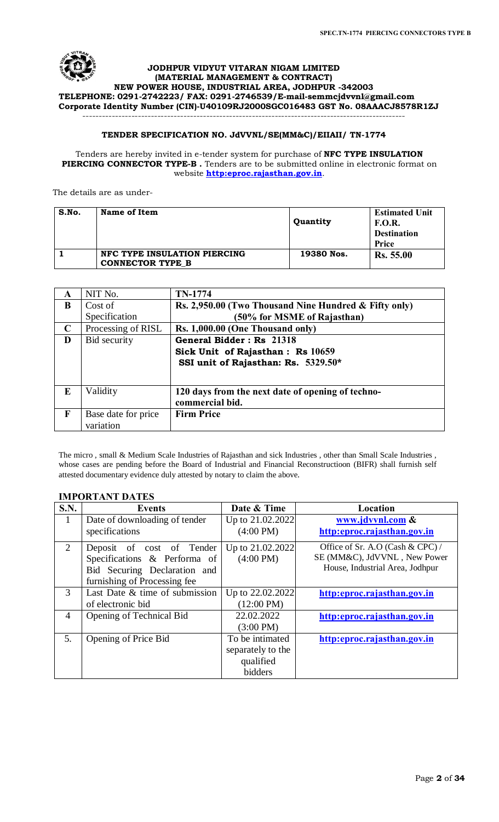

### **JODHPUR VIDYUT VITARAN NIGAM LIMITED (MATERIAL MANAGEMENT & CONTRACT) NEW POWER HOUSE, INDUSTRIAL AREA, JODHPUR -342003 TELEPHONE: 0291-2742223/ FAX: 0291-2746539/E-mail-[semmcjdvvnl@gmail.com](mailto:semmcjdvvnl@gmail.com) Corporate Identity Number (CIN)-U40109RJ2000SGC016483 GST No. 08AAACJ8578R1ZJ** ---------------------------------------------------------------------------------------------------

# **TENDER SPECIFICATION NO. JdVVNL/SE(MM&C)/EIIAII/ TN-1774**

### Tenders are hereby invited in e-tender system for purchase of **NFC TYPE INSULATION PIERCING CONNECTOR TYPE-B .** Tenders are to be submitted online in electronic format on website **[http:eproc.rajasthan.gov.in](http://www.eproc.rajasthan.gov.in/nicgep/app)**.

The details are as under-

| S.No. | Name of Item                                            | Quantity   | <b>Estimated Unit</b><br><b>F.O.R.</b><br><b>Destination</b><br><b>Price</b> |
|-------|---------------------------------------------------------|------------|------------------------------------------------------------------------------|
|       | NFC TYPE INSULATION PIERCING<br><b>CONNECTOR TYPE B</b> | 19380 Nos. | <b>Rs.</b> 55.00                                                             |

| A           | NIT No.             | TN-1774                                               |
|-------------|---------------------|-------------------------------------------------------|
| B           | Cost of             | Rs. 2,950.00 (Two Thousand Nine Hundred & Fifty only) |
|             | Specification       | (50% for MSME of Rajasthan)                           |
| $\mathbf C$ | Processing of RISL  | Rs. 1,000.00 (One Thousand only)                      |
| D           | Bid security        | General Bidder: Rs 21318                              |
|             |                     | Sick Unit of Rajasthan: Rs 10659                      |
|             |                     | SSI unit of Rajasthan: Rs. 5329.50*                   |
|             |                     |                                                       |
| E           | Validity            | 120 days from the next date of opening of techno-     |
|             |                     | commercial bid.                                       |
|             |                     |                                                       |
| F           | Base date for price | <b>Firm Price</b>                                     |
|             | variation           |                                                       |

The micro , small & Medium Scale Industries of Rajasthan and sick Industries , other than Small Scale Industries , whose cases are pending before the Board of Industrial and Financial Reconstructioon (BIFR) shall furnish self attested documentary evidence duly attested by notary to claim the above.

# **IMPORTANT DATES**

| <b>S.N.</b> | <b>Events</b>                  | Date & Time          | Location                         |
|-------------|--------------------------------|----------------------|----------------------------------|
| 1           | Date of downloading of tender  | Up to 21.02.2022     | www.jdvynl.com &                 |
|             | specifications                 | $(4:00 \text{ PM})$  | http:eproc.rajasthan.gov.in      |
| 2           | Deposit of cost of Tender      | Up to 21.02.2022     | Office of Sr. A.O (Cash & CPC) / |
|             | Specifications & Performa of   | $(4:00 \text{ PM})$  | SE (MM&C), JdVVNL, New Power     |
|             | Bid Securing Declaration and   |                      | House, Industrial Area, Jodhpur  |
|             | furnishing of Processing fee   |                      |                                  |
| 3           | Last Date & time of submission | Up to 22.02.2022     | http:eproc.rajasthan.gov.in      |
|             | of electronic bid              | $(12:00 \text{ PM})$ |                                  |
| 4           | Opening of Technical Bid       | 22.02.2022           | http:eproc.rajasthan.gov.in      |
|             |                                | $(3:00 \text{ PM})$  |                                  |
| 5.          | Opening of Price Bid           | To be intimated      | http:eproc.rajasthan.gov.in      |
|             |                                | separately to the    |                                  |
|             |                                | qualified            |                                  |
|             |                                | bidders              |                                  |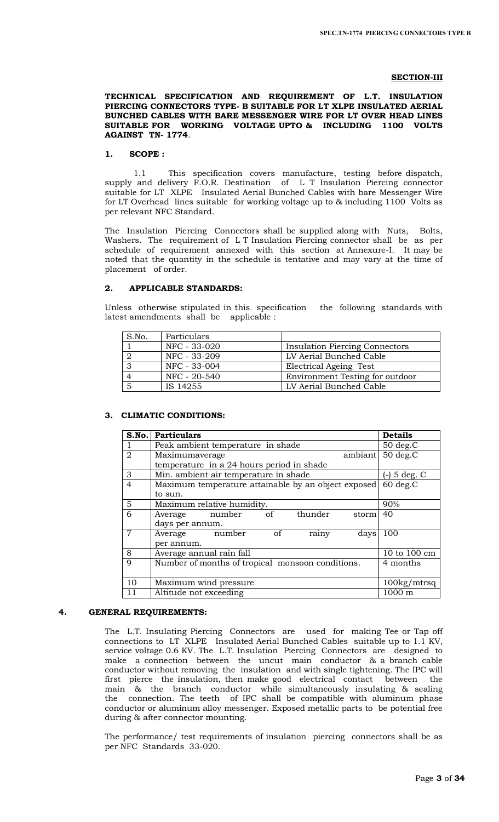### **SECTION-III**

**TECHNICAL SPECIFICATION AND REQUIREMENT OF L.T. INSULATION PIERCING CONNECTORS TYPE- B SUITABLE FOR LT XLPE INSULATED AERIAL BUNCHED CABLES WITH BARE MESSENGER WIRE FOR LT OVER HEAD LINES SUITABLE FOR WORKING VOLTAGE UPTO & INCLUDING 1100 VOLTS AGAINST TN- 1774**.

## **1. SCOPE :**

 1.1 This specification covers manufacture, testing before dispatch, supply and delivery F.O.R. Destination of L T Insulation Piercing connector suitable for LT XLPE Insulated Aerial Bunched Cables with bare Messenger Wire for LT Overhead lines suitable for working voltage up to & including 1100 Volts as per relevant NFC Standard.

The Insulation Piercing Connectors shall be supplied along with Nuts, Bolts, Washers. The requirement of L T Insulation Piercing connector shall be as per schedule of requirement annexed with this section at Annexure-I. It may be noted that the quantity in the schedule is tentative and may vary at the time of placement of order.

## **2. APPLICABLE STANDARDS:**

Unless otherwise stipulated in this specification the following standards with latest amendments shall be applicable :

| S.No. | Particulars  |                                       |
|-------|--------------|---------------------------------------|
|       | NFC - 33-020 | <b>Insulation Piercing Connectors</b> |
|       | NFC - 33-209 | LV Aerial Bunched Cable               |
|       | NFC - 33-004 | Electrical Ageing Test                |
|       | NFC - 20-540 | Environment Testing for outdoor       |
|       | IS 14255     | LV Aerial Bunched Cable               |

## **3. CLIMATIC CONDITIONS:**

| S.No.          | <b>Particulars</b>                                  | <b>Details</b> |
|----------------|-----------------------------------------------------|----------------|
|                | Peak ambient temperature in shade                   | $50 \deg.C$    |
| 2              | ambiant<br>Maximumaverage                           | $50$ deg. $C$  |
|                | temperature in a 24 hours period in shade           |                |
| 3              | Min. ambient air temperature in shade               | $5$ deg. $C$   |
| 4              | Maximum temperature attainable by an object exposed | $60$ deg. $C$  |
|                | to sun.                                             |                |
| 5              | Maximum relative humidity.                          | 90%            |
| 6              | thunder<br>Average number<br>of<br>storm            | 40             |
|                | days per annum.                                     |                |
| $\overline{7}$ | Average<br>number<br>of<br>days<br>rainy            | 100            |
|                | per annum.                                          |                |
| 8              | Average annual rain fall                            | 10 to 100 cm   |
| 9              | Number of months of tropical monsoon conditions.    | 4 months       |
|                |                                                     |                |
| 10             | Maximum wind pressure                               | 100kg/mtrsq    |
| 11             | Altitude not exceeding                              | 1000 m         |

### **4. GENERAL REQUIREMENTS:**

The L.T. Insulating Piercing Connectors are used for making Tee or Tap off connections to LT XLPE Insulated Aerial Bunched Cables suitable up to 1.1 KV, service voltage 0.6 KV. The L.T. Insulation Piercing Connectors are designed to make a connection between the uncut main conductor & a branch cable conductor without removing the insulation and with single tightening. The IPC will first pierce the insulation, then make good electrical contact between the main & the branch conductor while simultaneously insulating & sealing the connection. The teeth of IPC shall be compatible with aluminum phase conductor or aluminum alloy messenger. Exposed metallic parts to be potential free during & after connector mounting.

The performance/ test requirements of insulation piercing connectors shall be as per NFC Standards 33-020.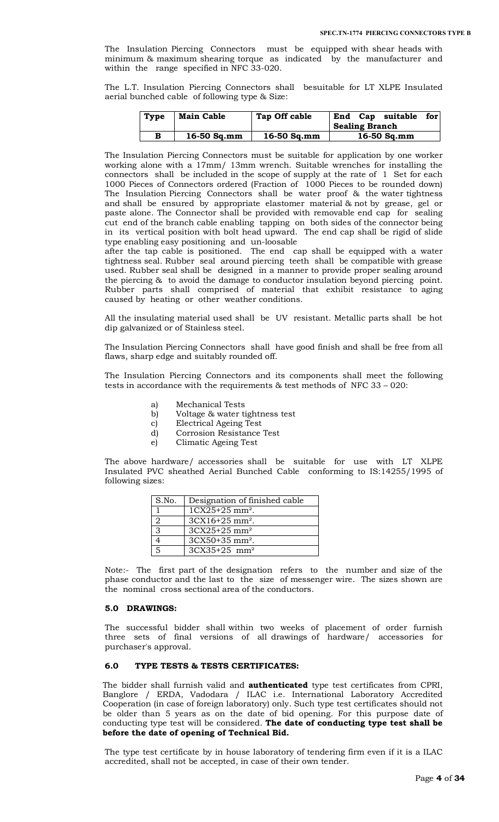The Insulation Piercing Connectors must be equipped with shear heads with minimum & maximum shearing torque as indicated by the manufacturer and within the range specified in NFC 33-020.

The L.T. Insulation Piercing Connectors shall besuitable for LT XLPE Insulated aerial bunched cable of following type & Size:

| <b>Type</b> | <b>Main Cable</b> | Tap Off cable | for<br>End Cap suitable<br><b>Sealing Branch</b> |
|-------------|-------------------|---------------|--------------------------------------------------|
| в           | $16-50$ Sq.mm     | $16-50$ Sq.mm | $16-50$ Sq.mm                                    |

The Insulation Piercing Connectors must be suitable for application by one worker working alone with a 17mm/ 13mm wrench. Suitable wrenches for installing the connectors shall be included in the scope of supply at the rate of 1 Set for each 1000 Pieces of Connectors ordered (Fraction of 1000 Pieces to be rounded down) The Insulation Piercing Connectors shall be water proof & the water tightness and shall be ensured by appropriate elastomer material & not by grease, gel or paste alone. The Connector shall be provided with removable end cap for sealing cut end of the branch cable enabling tapping on both sides of the connector being in its vertical position with bolt head upward. The end cap shall be rigid of slide type enabling easy positioning and un-loosable

after the tap cable is positioned. The end cap shall be equipped with a water tightness seal. Rubber seal around piercing teeth shall be compatible with grease used. Rubber seal shall be designed in a manner to provide proper sealing around the piercing & to avoid the damage to conductor insulation beyond piercing point. Rubber parts shall comprised of material that exhibit resistance to aging caused by heating or other weather conditions.

All the insulating material used shall be UV resistant. Metallic parts shall be hot dip galvanized or of Stainless steel.

The Insulation Piercing Connectors shall have good finish and shall be free from all flaws, sharp edge and suitably rounded off.

The Insulation Piercing Connectors and its components shall meet the following tests in accordance with the requirements & test methods of NFC 33 – 020:

- a) Mechanical Tests
- b) Voltage & water tightness test
- c) Electrical Ageing Test
- d) Corrosion Resistance Test
- e) Climatic Ageing Test

The above hardware/ accessories shall be suitable for use with LT XLPE Insulated PVC sheathed Aerial Bunched Cable conforming to IS:14255/1995 of following sizes:

| S.No. | Designation of finished cable  |
|-------|--------------------------------|
|       | $1CX25+25$ mm <sup>2</sup> .   |
| 2     | $3CX16+25$ mm <sup>2</sup> .   |
| 3     | $3C X 25 + 25$ mm <sup>2</sup> |
|       | $3CX50+35$ mm <sup>2</sup> .   |
| 5     | $3C X 35+25$ mm <sup>2</sup>   |

Note:- The first part of the designation refers to the number and size of the phase conductor and the last to the size of messenger wire. The sizes shown are the nominal cross sectional area of the conductors.

### **5.0 DRAWINGS:**

The successful bidder shall within two weeks of placement of order furnish three sets of final versions of all drawings of hardware/ accessories for purchaser's approval.

## **6.0 TYPE TESTS & TESTS CERTIFICATES:**

The bidder shall furnish valid and **authenticated** type test certificates from CPRI, Banglore / ERDA, Vadodara / ILAC i.e. International Laboratory Accredited Cooperation (in case of foreign laboratory) only. Such type test certificates should not be older than 5 years as on the date of bid opening. For this purpose date of conducting type test will be considered. **The date of conducting type test shall be before the date of opening of Technical Bid.**

The type test certificate by in house laboratory of tendering firm even if it is a ILAC accredited, shall not be accepted, in case of their own tender.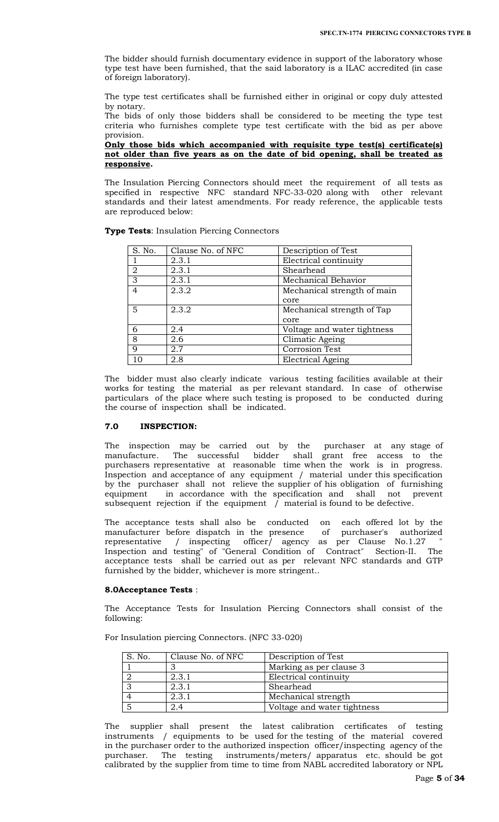The bidder should furnish documentary evidence in support of the laboratory whose type test have been furnished, that the said laboratory is a ILAC accredited (in case of foreign laboratory).

The type test certificates shall be furnished either in original or copy duly attested by notary.

The bids of only those bidders shall be considered to be meeting the type test criteria who furnishes complete type test certificate with the bid as per above provision.

### **Only those bids which accompanied with requisite type test(s) certificate(s) not older than five years as on the date of bid opening, shall be treated as responsive.**

The Insulation Piercing Connectors should meet the requirement of all tests as specified in respective NFC standard NFC-33-020 along with other relevant standards and their latest amendments. For ready reference, the applicable tests are reproduced below:

**Type Tests**: Insulation Piercing Connectors

| S. No.         | Clause No. of NFC | Description of Test         |
|----------------|-------------------|-----------------------------|
|                | 2.3.1             | Electrical continuity       |
| $\overline{2}$ | 2.3.1             | Shearhead                   |
| 3              | 2.3.1             | Mechanical Behavior         |
| 4              | 2.3.2             | Mechanical strength of main |
|                |                   | core                        |
| 5              | 2.3.2             | Mechanical strength of Tap  |
|                |                   | core                        |
| 6              | 2.4               | Voltage and water tightness |
| 8              | 2.6               | Climatic Ageing             |
| $\mathbf Q$    | 2.7               | <b>Corrosion Test</b>       |
| 10             | 2.8               | Electrical Ageing           |

The bidder must also clearly indicate various testing facilities available at their works for testing the material as per relevant standard. In case of otherwise particulars of the place where such testing is proposed to be conducted during the course of inspection shall be indicated.

### **7.0 INSPECTION:**

The inspection may be carried out by the purchaser at any stage of manufacture. The successful bidder shall grant free access to the purchasers representative at reasonable time when the work is in progress. Inspection and acceptance of any equipment / material under this specification by the purchaser shall not relieve the supplier of his obligation of furnishing equipment in accordance with the specification and shall not prevent subsequent rejection if the equipment / material is found to be defective.

The acceptance tests shall also be conducted on each offered lot by the manufacturer before dispatch in the presence of purchaser's authorized representative / inspecting officer/ agency as per Clause No.1.27 " Inspection and testing" of "General Condition of Contract" Section-II. The acceptance tests shall be carried out as per relevant NFC standards and GTP furnished by the bidder, whichever is more stringent..

### **8.0Acceptance Tests** :

The Acceptance Tests for Insulation Piercing Connectors shall consist of the following:

For Insulation piercing Connectors. (NFC 33-020)

| S. No. | Clause No. of NFC | Description of Test         |
|--------|-------------------|-----------------------------|
|        |                   | Marking as per clause 3     |
|        | 2.3.1             | Electrical continuity       |
|        | 2.3.1             | Shearhead                   |
|        | 2.3.1             | Mechanical strength         |
|        | 2.4               | Voltage and water tightness |

The supplier shall present the latest calibration certificates of testing instruments / equipments to be used for the testing of the material covered in the purchaser order to the authorized inspection officer/inspecting agency of the purchaser. The testing instruments/meters/ apparatus etc. should be got calibrated by the supplier from time to time from NABL accredited laboratory or NPL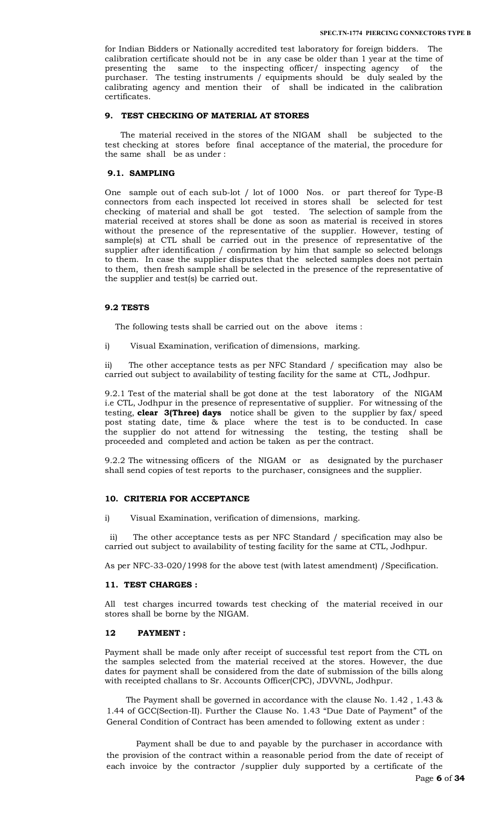for Indian Bidders or Nationally accredited test laboratory for foreign bidders. The calibration certificate should not be in any case be older than 1 year at the time of presenting the same to the inspecting officer/ inspecting agency of the purchaser. The testing instruments / equipments should be duly sealed by the calibrating agency and mention their of shall be indicated in the calibration certificates.

### **9. TEST CHECKING OF MATERIAL AT STORES**

 The material received in the stores of the NIGAM shall be subjected to the test checking at stores before final acceptance of the material, the procedure for the same shall be as under :

## **9.1. SAMPLING**

One sample out of each sub-lot / lot of 1000 Nos. or part thereof for Type-B connectors from each inspected lot received in stores shall be selected for test checking of material and shall be got tested. The selection of sample from the material received at stores shall be done as soon as material is received in stores without the presence of the representative of the supplier. However, testing of sample(s) at CTL shall be carried out in the presence of representative of the supplier after identification / confirmation by him that sample so selected belongs to them. In case the supplier disputes that the selected samples does not pertain to them, then fresh sample shall be selected in the presence of the representative of the supplier and test(s) be carried out.

### **9.2 TESTS**

The following tests shall be carried out on the above items :

i) Visual Examination, verification of dimensions, marking.

ii) The other acceptance tests as per NFC Standard / specification may also be carried out subject to availability of testing facility for the same at CTL, Jodhpur.

9.2.1 Test of the material shall be got done at the test laboratory of the NIGAM i.e CTL, Jodhpur in the presence of representative of supplier. For witnessing of the testing, **clear 3(Three) days** notice shall be given to the supplier by fax/ speed post stating date, time & place where the test is to be conducted. In case the supplier do not attend for witnessing the testing, the testing shall be proceeded and completed and action be taken as per the contract.

9.2.2 The witnessing officers of the NIGAM or as designated by the purchaser shall send copies of test reports to the purchaser, consignees and the supplier.

### **10. CRITERIA FOR ACCEPTANCE**

i) Visual Examination, verification of dimensions, marking.

 ii) The other acceptance tests as per NFC Standard / specification may also be carried out subject to availability of testing facility for the same at CTL, Jodhpur.

As per NFC-33-020/1998 for the above test (with latest amendment) /Specification.

### **11. TEST CHARGES :**

All test charges incurred towards test checking of the material received in our stores shall be borne by the NIGAM.

### **12 PAYMENT :**

Payment shall be made only after receipt of successful test report from the CTL on the samples selected from the material received at the stores. However, the due dates for payment shall be considered from the date of submission of the bills along with receipted challans to Sr. Accounts Officer(CPC), JDVVNL, Jodhpur.

The Payment shall be governed in accordance with the clause No. 1.42 , 1.43 & 1.44 of GCC(Section-II). Further the Clause No. 1.43 "Due Date of Payment" of the General Condition of Contract has been amended to following extent as under :

 Payment shall be due to and payable by the purchaser in accordance with the provision of the contract within a reasonable period from the date of receipt of each invoice by the contractor /supplier duly supported by a certificate of the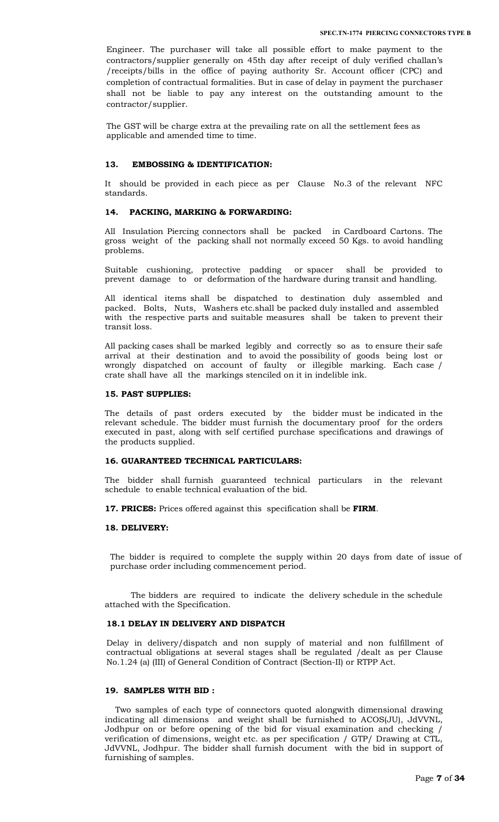Engineer. The purchaser will take all possible effort to make payment to the contractors/supplier generally on 45th day after receipt of duly verified challan's /receipts/bills in the office of paying authority Sr. Account officer (CPC) and completion of contractual formalities. But in case of delay in payment the purchaser shall not be liable to pay any interest on the outstanding amount to the contractor/supplier.

The GST will be charge extra at the prevailing rate on all the settlement fees as applicable and amended time to time.

### **13. EMBOSSING & IDENTIFICATION:**

It should be provided in each piece as per Clause No.3 of the relevant NFC standards.

### **14. PACKING, MARKING & FORWARDING:**

All Insulation Piercing connectors shall be packed in Cardboard Cartons. The gross weight of the packing shall not normally exceed 50 Kgs. to avoid handling problems.

Suitable cushioning, protective padding or spacer shall be provided to prevent damage to or deformation of the hardware during transit and handling.

All identical items shall be dispatched to destination duly assembled and packed. Bolts, Nuts, Washers etc.shall be packed duly installed and assembled with the respective parts and suitable measures shall be taken to prevent their transit loss.

All packing cases shall be marked legibly and correctly so as to ensure their safe arrival at their destination and to avoid the possibility of goods being lost or wrongly dispatched on account of faulty or illegible marking. Each case / crate shall have all the markings stenciled on it in indelible ink.

### **15. PAST SUPPLIES:**

The details of past orders executed by the bidder must be indicated in the relevant schedule. The bidder must furnish the documentary proof for the orders executed in past, along with self certified purchase specifications and drawings of the products supplied.

### **16. GUARANTEED TECHNICAL PARTICULARS:**

The bidder shall furnish guaranteed technical particulars in the relevant schedule to enable technical evaluation of the bid.

**17. PRICES:** Prices offered against this specification shall be **FIRM**.

### **18. DELIVERY:**

The bidder is required to complete the supply within 20 days from date of issue of purchase order including commencement period.

 The bidders are required to indicate the delivery schedule in the schedule attached with the Specification.

### **18.1 DELAY IN DELIVERY AND DISPATCH**

Delay in delivery/dispatch and non supply of material and non fulfillment of contractual obligations at several stages shall be regulated /dealt as per Clause No.1.24 (a) (III) of General Condition of Contract (Section-II) or RTPP Act.

### **19. SAMPLES WITH BID :**

 Two samples of each type of connectors quoted alongwith dimensional drawing indicating all dimensions and weight shall be furnished to ACOS(JU), JdVVNL, Jodhpur on or before opening of the bid for visual examination and checking / verification of dimensions, weight etc. as per specification / GTP/ Drawing at CTL, JdVVNL, Jodhpur. The bidder shall furnish document with the bid in support of furnishing of samples.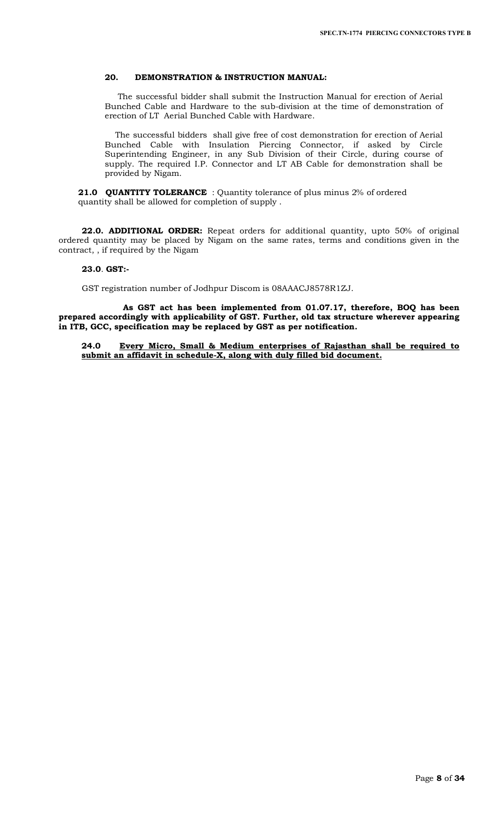# **20. DEMONSTRATION & INSTRUCTION MANUAL:**

 The successful bidder shall submit the Instruction Manual for erection of Aerial Bunched Cable and Hardware to the sub-division at the time of demonstration of erection of LT Aerial Bunched Cable with Hardware.

 The successful bidders shall give free of cost demonstration for erection of Aerial Bunched Cable with Insulation Piercing Connector, if asked by Circle Superintending Engineer, in any Sub Division of their Circle, during course of supply. The required I.P. Connector and LT AB Cable for demonstration shall be provided by Nigam.

**21.0 QUANTITY TOLERANCE** : Quantity tolerance of plus minus 2% of ordered quantity shall be allowed for completion of supply .

**22.0. ADDITIONAL ORDER:** Repeat orders for additional quantity, upto 50% of original ordered quantity may be placed by Nigam on the same rates, terms and conditions given in the contract, , if required by the Nigam

### **23.0**. **GST:-**

GST registration number of Jodhpur Discom is 08AAACJ8578R1ZJ.

 **As GST act has been implemented from 01.07.17, therefore, BOQ has been prepared accordingly with applicability of GST. Further, old tax structure wherever appearing in ITB, GCC, specification may be replaced by GST as per notification.**

**24.0 Every Micro, Small & Medium enterprises of Rajasthan shall be required to submit an affidavit in schedule-X, along with duly filled bid document.**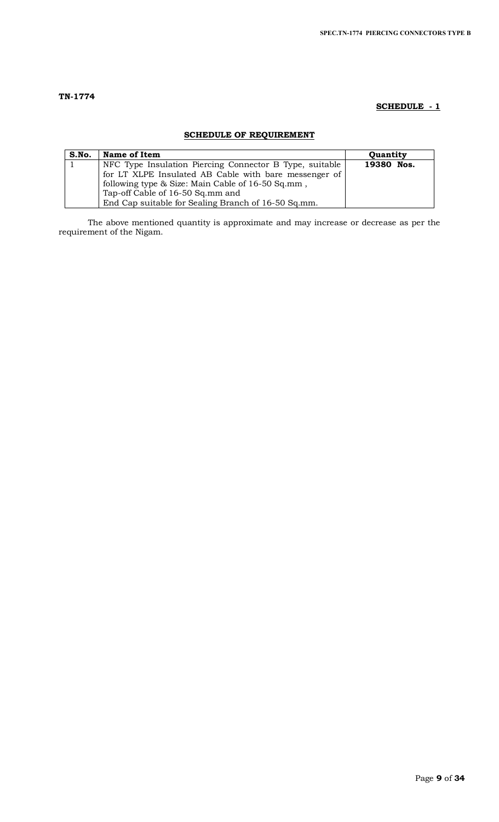# **SCHEDULE - 1**

# **SCHEDULE OF REQUIREMENT**

| S.No. | <b>Name of Item</b>                                     | Quantity   |
|-------|---------------------------------------------------------|------------|
|       | NFC Type Insulation Piercing Connector B Type, suitable | 19380 Nos. |
|       | for LT XLPE Insulated AB Cable with bare messenger of   |            |
|       | following type & Size: Main Cable of 16-50 Sq.mm,       |            |
|       | Tap-off Cable of 16-50 Sq.mm and                        |            |
|       | End Cap suitable for Sealing Branch of 16-50 Sq.mm.     |            |

The above mentioned quantity is approximate and may increase or decrease as per the requirement of the Nigam.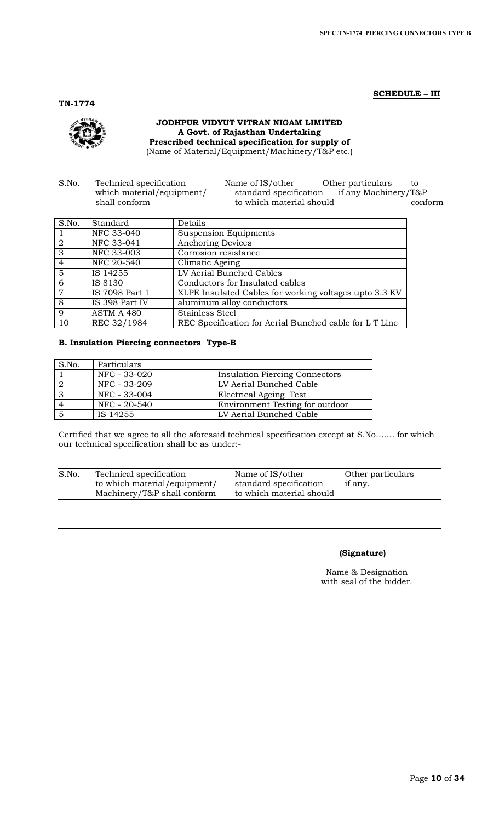**SCHEDULE – III**

**TN-1774**

### **JODHPUR VIDYUT VITRAN NIGAM LIMITED A Govt. of Rajasthan Undertaking Prescribed technical specification for supply of**  (Name of Material/Equipment/Machinery/T&P etc.)

S.No. Technical specification Name of IS/other Other particulars to which material/equipment/ standard specification if any Machinery/T&P<br>shall conform to which material should conf to which material should conform

| S.No.           | Standard       | Details                                                 |
|-----------------|----------------|---------------------------------------------------------|
|                 | NFC 33-040     | <b>Suspension Equipments</b>                            |
| 2               | NFC 33-041     | <b>Anchoring Devices</b>                                |
| $\overline{3}$  | NFC 33-003     | Corrosion resistance                                    |
| $\overline{4}$  | NFC 20-540     | Climatic Ageing                                         |
| $5\overline{5}$ | IS 14255       | LV Aerial Bunched Cables                                |
| 6               | IS 8130        | Conductors for Insulated cables                         |
| $\overline{7}$  | IS 7098 Part 1 | XLPE Insulated Cables for working voltages upto 3.3 KV  |
| 8               | IS 398 Part IV | aluminum alloy conductors                               |
| 9               | ASTM A 480     | Stainless Steel                                         |
| 10              | REC 32/1984    | REC Specification for Aerial Bunched cable for L T Line |

# **B. Insulation Piercing connectors Type-B**

| S.No. | Particulars  |                                       |
|-------|--------------|---------------------------------------|
|       | NFC - 33-020 | <b>Insulation Piercing Connectors</b> |
|       | NFC - 33-209 | LV Aerial Bunched Cable               |
| -3    | NFC - 33-004 | Electrical Ageing Test                |
|       | NFC - 20-540 | Environment Testing for outdoor       |
|       | IS 14255     | LV Aerial Bunched Cable               |

Certified that we agree to all the aforesaid technical specification except at S.No……. for which our technical specification shall be as under:-

| S.No. | Technical specification      | Name of IS/other         | Other particulars |
|-------|------------------------------|--------------------------|-------------------|
|       | to which material/equipment/ | standard specification   | if any.           |
|       | Machinery/T&P shall conform  | to which material should |                   |

# **(Signature)**

Name & Designation with seal of the bidder.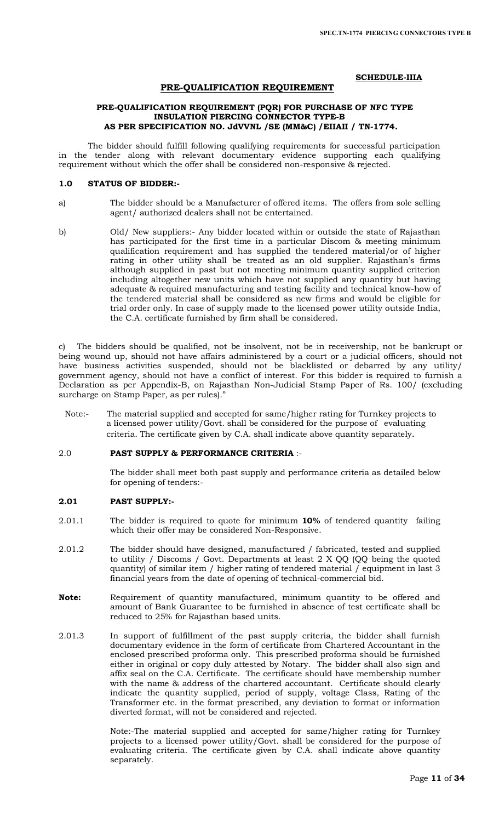### **SCHEDULE-IIIA**

### **PRE-QUALIFICATION REQUIREMENT**

### **PRE-QUALIFICATION REQUIREMENT (PQR) FOR PURCHASE OF NFC TYPE INSULATION PIERCING CONNECTOR TYPE-B AS PER SPECIFICATION NO. JdVVNL /SE (MM&C) /EIIAII / TN-1774.**

The bidder should fulfill following qualifying requirements for successful participation in the tender along with relevant documentary evidence supporting each qualifying requirement without which the offer shall be considered non-responsive & rejected.

### **1.0 STATUS OF BIDDER:-**

- a) The bidder should be a Manufacturer of offered items. The offers from sole selling agent/ authorized dealers shall not be entertained.
- b) Old/ New suppliers:- Any bidder located within or outside the state of Rajasthan has participated for the first time in a particular Discom & meeting minimum qualification requirement and has supplied the tendered material/or of higher rating in other utility shall be treated as an old supplier. Rajasthan's firms although supplied in past but not meeting minimum quantity supplied criterion including altogether new units which have not supplied any quantity but having adequate & required manufacturing and testing facility and technical know-how of the tendered material shall be considered as new firms and would be eligible for trial order only. In case of supply made to the licensed power utility outside India, the C.A. certificate furnished by firm shall be considered.

c) The bidders should be qualified, not be insolvent, not be in receivership, not be bankrupt or being wound up, should not have affairs administered by a court or a judicial officers, should not have business activities suspended, should not be blacklisted or debarred by any utility/ government agency, should not have a conflict of interest. For this bidder is required to furnish a Declaration as per Appendix-B, on Rajasthan Non-Judicial Stamp Paper of Rs. 100/ (excluding surcharge on Stamp Paper, as per rules)."

Note:- The material supplied and accepted for same/higher rating for Turnkey projects to a licensed power utility/Govt. shall be considered for the purpose of evaluating criteria. The certificate given by C.A. shall indicate above quantity separately.

### 2.0 **PAST SUPPLY & PERFORMANCE CRITERIA** :-

The bidder shall meet both past supply and performance criteria as detailed below for opening of tenders:-

### **2.01 PAST SUPPLY:-**

- 2.01.1 The bidder is required to quote for minimum **10%** of tendered quantity failing which their offer may be considered Non-Responsive.
- 2.01.2 The bidder should have designed, manufactured / fabricated, tested and supplied to utility / Discoms / Govt. Departments at least 2 X QQ (QQ being the quoted quantity) of similar item / higher rating of tendered material / equipment in last 3 financial years from the date of opening of technical-commercial bid.
- **Note:** Requirement of quantity manufactured, minimum quantity to be offered and amount of Bank Guarantee to be furnished in absence of test certificate shall be reduced to 25% for Rajasthan based units.
- 2.01.3 In support of fulfillment of the past supply criteria, the bidder shall furnish documentary evidence in the form of certificate from Chartered Accountant in the enclosed prescribed proforma only. This prescribed proforma should be furnished either in original or copy duly attested by Notary. The bidder shall also sign and affix seal on the C.A. Certificate. The certificate should have membership number with the name & address of the chartered accountant. Certificate should clearly indicate the quantity supplied, period of supply, voltage Class, Rating of the Transformer etc. in the format prescribed, any deviation to format or information diverted format, will not be considered and rejected.

Note:-The material supplied and accepted for same/higher rating for Turnkey projects to a licensed power utility/Govt. shall be considered for the purpose of evaluating criteria. The certificate given by C.A. shall indicate above quantity separately.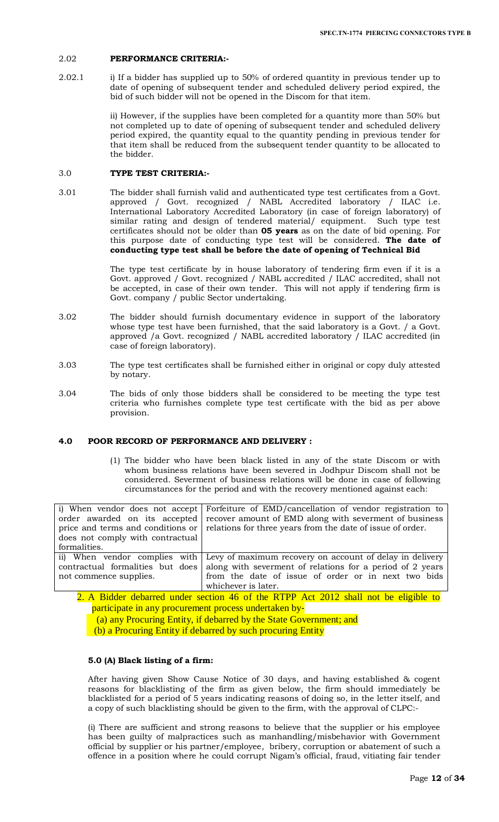### 2.02 **PERFORMANCE CRITERIA:-**

2.02.1 i) If a bidder has supplied up to 50% of ordered quantity in previous tender up to date of opening of subsequent tender and scheduled delivery period expired, the bid of such bidder will not be opened in the Discom for that item.

> ii) However, if the supplies have been completed for a quantity more than 50% but not completed up to date of opening of subsequent tender and scheduled delivery period expired, the quantity equal to the quantity pending in previous tender for that item shall be reduced from the subsequent tender quantity to be allocated to the bidder.

# 3.0 **TYPE TEST CRITERIA:-**

3.01 The bidder shall furnish valid and authenticated type test certificates from a Govt. approved / Govt. recognized / NABL Accredited laboratory / ILAC i.e. International Laboratory Accredited Laboratory (in case of foreign laboratory) of similar rating and design of tendered material/ equipment. Such type test certificates should not be older than **05 years** as on the date of bid opening. For this purpose date of conducting type test will be considered. **The date of conducting type test shall be before the date of opening of Technical Bid**

> The type test certificate by in house laboratory of tendering firm even if it is a Govt. approved / Govt. recognized / NABL accredited / ILAC accredited, shall not be accepted, in case of their own tender. This will not apply if tendering firm is Govt. company / public Sector undertaking.

- 3.02 The bidder should furnish documentary evidence in support of the laboratory whose type test have been furnished, that the said laboratory is a Govt. / a Govt. approved /a Govt. recognized / NABL accredited laboratory / ILAC accredited (in case of foreign laboratory).
- 3.03 The type test certificates shall be furnished either in original or copy duly attested by notary.
- 3.04 The bids of only those bidders shall be considered to be meeting the type test criteria who furnishes complete type test certificate with the bid as per above provision.

# **4.0 POOR RECORD OF PERFORMANCE AND DELIVERY :**

(1) The bidder who have been black listed in any of the state Discom or with whom business relations have been severed in Jodhpur Discom shall not be considered. Severment of business relations will be done in case of following circumstances for the period and with the recovery mentioned against each:

| order awarded on its accepted                              | i) When vendor does not accept Forfeiture of EMD/cancellation of vendor registration to<br>recover amount of EMD along with severment of business<br>price and terms and conditions or $\vert$ relations for three years from the date of issue of order. |
|------------------------------------------------------------|-----------------------------------------------------------------------------------------------------------------------------------------------------------------------------------------------------------------------------------------------------------|
| does not comply with contractual<br>formalities.           |                                                                                                                                                                                                                                                           |
| contractual formalities but does<br>not commence supplies. | ii) When vendor complies with Levy of maximum recovery on account of delay in delivery<br>along with severment of relations for a period of 2 years<br>from the date of issue of order or in next two bids<br>whichever is later.                         |

2. A Bidder debarred under section 46 of the RTPP Act 2012 shall not be eligible to participate in any procurement process undertaken by‐

 (a) any Procuring Entity, if debarred by the State Government; and (b) a Procuring Entity if debarred by such procuring Entity

## **5.0 (A) Black listing of a firm:**

After having given Show Cause Notice of 30 days, and having established & cogent reasons for blacklisting of the firm as given below, the firm should immediately be blacklisted for a period of 5 years indicating reasons of doing so, in the letter itself, and a copy of such blacklisting should be given to the firm, with the approval of CLPC:-

(i) There are sufficient and strong reasons to believe that the supplier or his employee has been guilty of malpractices such as manhandling/misbehavior with Government official by supplier or his partner/employee, bribery, corruption or abatement of such a offence in a position where he could corrupt Nigam's official, fraud, vitiating fair tender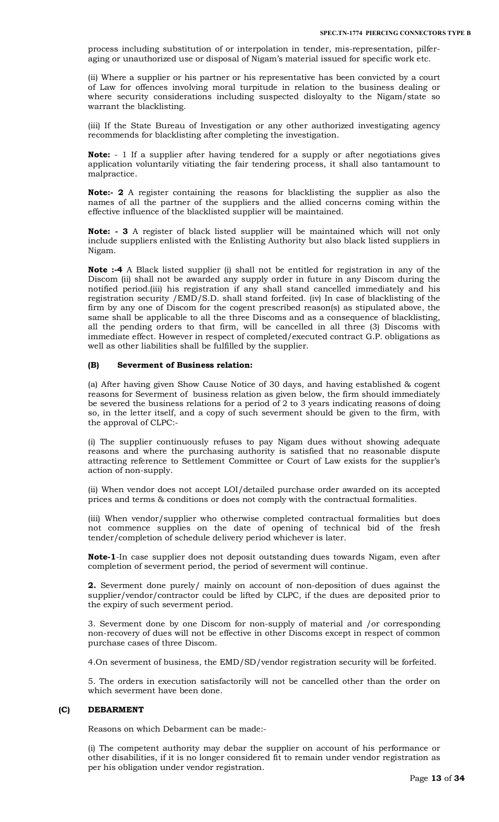process including substitution of or interpolation in tender, mis-representation, pilferaging or unauthorized use or disposal of Nigam's material issued for specific work etc.

(ii) Where a supplier or his partner or his representative has been convicted by a court of Law for offences involving moral turpitude in relation to the business dealing or where security considerations including suspected disloyalty to the Nigam/state so warrant the blacklisting.

(iii) If the State Bureau of Investigation or any other authorized investigating agency recommends for blacklisting after completing the investigation.

**Note:** - 1 If a supplier after having tendered for a supply or after negotiations gives application voluntarily vitiating the fair tendering process, it shall also tantamount to malpractice.

**Note:- 2** A register containing the reasons for blacklisting the supplier as also the names of all the partner of the suppliers and the allied concerns coming within the effective influence of the blacklisted supplier will be maintained.

**Note: - 3** A register of black listed supplier will be maintained which will not only include suppliers enlisted with the Enlisting Authority but also black listed suppliers in Nigam.

**Note :-4** A Black listed supplier (i) shall not be entitled for registration in any of the Discom (ii) shall not be awarded any supply order in future in any Discom during the notified period.(iii) his registration if any shall stand cancelled immediately and his registration security /EMD/S.D. shall stand forfeited. (iv) In case of blacklisting of the firm by any one of Discom for the cogent prescribed reason(s) as stipulated above, the same shall be applicable to all the three Discoms and as a consequence of blacklisting, all the pending orders to that firm, will be cancelled in all three (3) Discoms with immediate effect. However in respect of completed/executed contract G.P. obligations as well as other liabilities shall be fulfilled by the supplier.

### **(B) Severment of Business relation:**

(a) After having given Show Cause Notice of 30 days, and having established & cogent reasons for Severment of business relation as given below, the firm should immediately be severed the business relations for a period of 2 to 3 years indicating reasons of doing so, in the letter itself, and a copy of such severment should be given to the firm, with the approval of CLPC:-

(i) The supplier continuously refuses to pay Nigam dues without showing adequate reasons and where the purchasing authority is satisfied that no reasonable dispute attracting reference to Settlement Committee or Court of Law exists for the supplier's action of non-supply.

(ii) When vendor does not accept LOI/detailed purchase order awarded on its accepted prices and terms & conditions or does not comply with the contractual formalities.

(iii) When vendor/supplier who otherwise completed contractual formalities but does not commence supplies on the date of opening of technical bid of the fresh tender/completion of schedule delivery period whichever is later.

**Note-1**-In case supplier does not deposit outstanding dues towards Nigam, even after completion of severment period, the period of severment will continue.

**2.** Severment done purely/ mainly on account of non-deposition of dues against the supplier/vendor/contractor could be lifted by CLPC, if the dues are deposited prior to the expiry of such severment period.

3. Severment done by one Discom for non-supply of material and /or corresponding non-recovery of dues will not be effective in other Discoms except in respect of common purchase cases of three Discom.

4.On severment of business, the EMD/SD/vendor registration security will be forfeited.

5. The orders in execution satisfactorily will not be cancelled other than the order on which severment have been done.

### **(C) DEBARMENT**

Reasons on which Debarment can be made:-

(i) The competent authority may debar the supplier on account of his performance or other disabilities, if it is no longer considered fit to remain under vendor registration as per his obligation under vendor registration.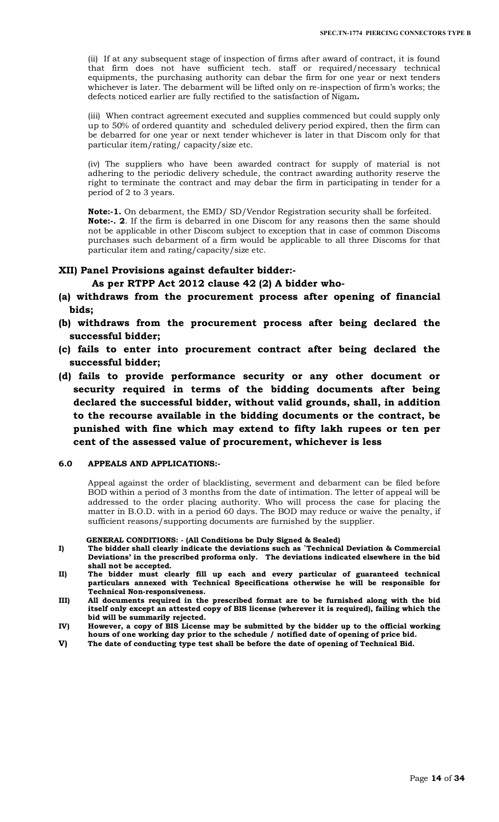(ii) If at any subsequent stage of inspection of firms after award of contract, it is found that firm does not have sufficient tech. staff or required/necessary technical equipments, the purchasing authority can debar the firm for one year or next tenders whichever is later. The debarment will be lifted only on re-inspection of firm's works; the defects noticed earlier are fully rectified to the satisfaction of Nigam**.** 

(iii) When contract agreement executed and supplies commenced but could supply only up to 50% of ordered quantity and scheduled delivery period expired, then the firm can be debarred for one year or next tender whichever is later in that Discom only for that particular item/rating/ capacity/size etc.

(iv) The suppliers who have been awarded contract for supply of material is not adhering to the periodic delivery schedule, the contract awarding authority reserve the right to terminate the contract and may debar the firm in participating in tender for a period of 2 to 3 years.

**Note:-1.** On debarment, the EMD/ SD/Vendor Registration security shall be forfeited. **Note:-. 2**. If the firm is debarred in one Discom for any reasons then the same should not be applicable in other Discom subject to exception that in case of common Discoms purchases such debarment of a firm would be applicable to all three Discoms for that particular item and rating/capacity/size etc.

# **XII) Panel Provisions against defaulter bidder:-**

# **As per RTPP Act 2012 clause 42 (2) A bidder who-**

- **(a) withdraws from the procurement process after opening of financial bids;**
- **(b) withdraws from the procurement process after being declared the successful bidder;**
- **(c) fails to enter into procurement contract after being declared the successful bidder;**
- **(d) fails to provide performance security or any other document or security required in terms of the bidding documents after being declared the successful bidder, without valid grounds, shall, in addition to the recourse available in the bidding documents or the contract, be punished with fine which may extend to fifty lakh rupees or ten per cent of the assessed value of procurement, whichever is less**

### **6.0 APPEALS AND APPLICATIONS:-**

Appeal against the order of blacklisting, severment and debarment can be filed before BOD within a period of 3 months from the date of intimation. The letter of appeal will be addressed to the order placing authority. Who will process the case for placing the matter in B.O.D. with in a period 60 days. The BOD may reduce or waive the penalty, if sufficient reasons/supporting documents are furnished by the supplier.

### **GENERAL CONDITIONS: - (All Conditions be Duly Signed & Sealed)**

- **I) The bidder shall clearly indicate the deviations such as `Technical Deviation & Commercial Deviations' in the prescribed proforma only. The deviations indicated elsewhere in the bid shall not be accepted.**
- **II) The bidder must clearly fill up each and every particular of guaranteed technical particulars annexed with Technical Specifications otherwise he will be responsible for Technical Non-responsiveness.**
- **III) All documents required in the prescribed format are to be furnished along with the bid itself only except an attested copy of BIS license (wherever it is required), failing which the bid will be summarily rejected.**
- **IV) However, a copy of BIS License may be submitted by the bidder up to the official working hours of one working day prior to the schedule / notified date of opening of price bid.**
- **V) The date of conducting type test shall be before the date of opening of Technical Bid.**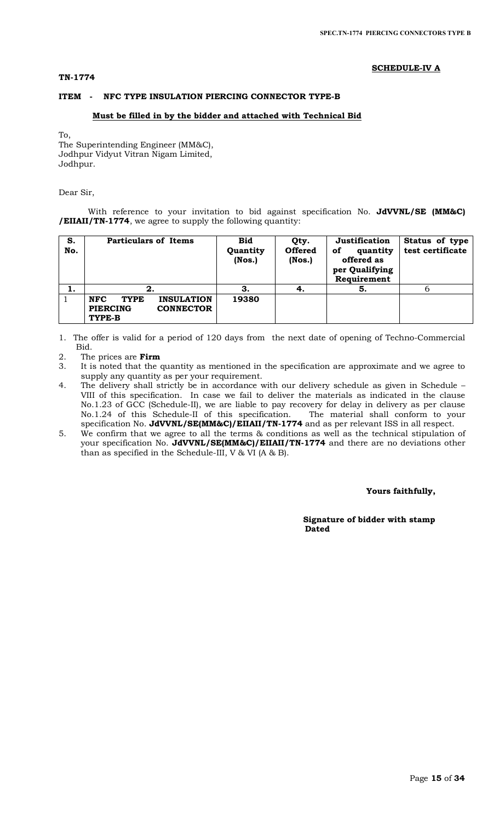# **TN-1774**

## **SCHEDULE-IV A**

# **ITEM - NFC TYPE INSULATION PIERCING CONNECTOR TYPE-B**

## **Must be filled in by the bidder and attached with Technical Bid**

To,

The Superintending Engineer (MM&C), Jodhpur Vidyut Vitran Nigam Limited, Jodhpur.

Dear Sir,

With reference to your invitation to bid against specification No. **JdVVNL/SE (MM&C) /EIIAII/TN-1774**, we agree to supply the following quantity:

| S.<br>No. | <b>Particulars of Items</b>                                                                     | <b>Bid</b><br>Quantity<br>$($ Nos. $)$ | Qty.<br><b>Offered</b><br>(Nos.) | Justification<br>quantity<br>оf<br>offered as<br>per Qualifying<br>Requirement | Status of type<br>test certificate |
|-----------|-------------------------------------------------------------------------------------------------|----------------------------------------|----------------------------------|--------------------------------------------------------------------------------|------------------------------------|
| ı.        | 2.                                                                                              | З.                                     | 4.                               | 5.                                                                             | b                                  |
|           | <b>NFC</b><br><b>INSULATION</b><br><b>TYPE</b><br><b>CONNECTOR</b><br><b>PIERCING</b><br>TYPE-B | 19380                                  |                                  |                                                                                |                                    |

1. The offer is valid for a period of 120 days from the next date of opening of Techno-Commercial Bid.

- 2. The prices are **Firm**
- 3. It is noted that the quantity as mentioned in the specification are approximate and we agree to supply any quantity as per your requirement.
- 4. The delivery shall strictly be in accordance with our delivery schedule as given in Schedule VIII of this specification. In case we fail to deliver the materials as indicated in the clause No.1.23 of GCC (Schedule-II), we are liable to pay recovery for delay in delivery as per clause No.1.24 of this Schedule-II of this specification. The material shall conform to your specification No. **JdVVNL/SE(MM&C)/EIIAII/TN-1774** and as per relevant ISS in all respect.
- 5. We confirm that we agree to all the terms & conditions as well as the technical stipulation of your specification No. **JdVVNL/SE(MM&C)/EIIAII/TN-1774** and there are no deviations other than as specified in the Schedule-III, V & VI (A & B).

### **Yours faithfully,**

 **Signature of bidder with stamp**  *Dated* **Dated**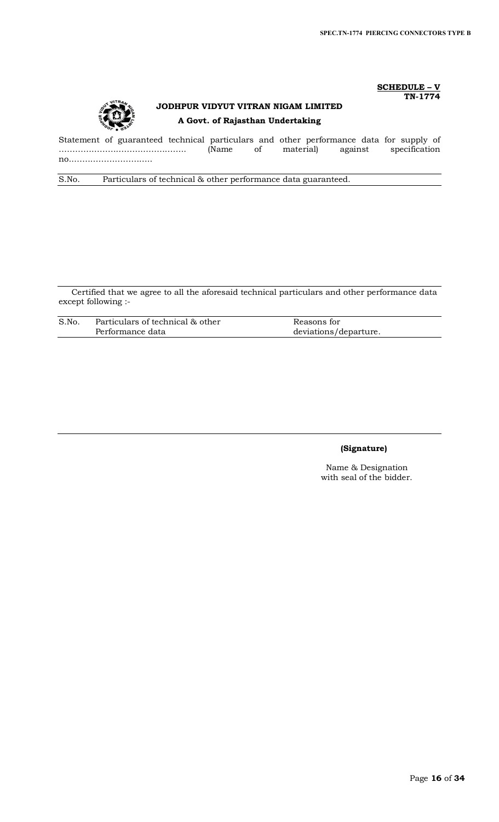### **SCHEDULE – V TN-1774**



# **JODHPUR VIDYUT VITRAN NIGAM LIMITED A Govt. of Rajasthan Undertaking**

Statement of guaranteed technical particulars and other performance data for supply of ……………………………………….. (Name of material) against specification no..………………………..

S.No. Particulars of technical & other performance data guaranteed.

Certified that we agree to all the aforesaid technical particulars and other performance data except following :-

| S.No. | Particulars of technical & other | Reasons for           |
|-------|----------------------------------|-----------------------|
|       | Performance data                 | deviations/departure. |

# **(Signature)**

Name & Designation with seal of the bidder.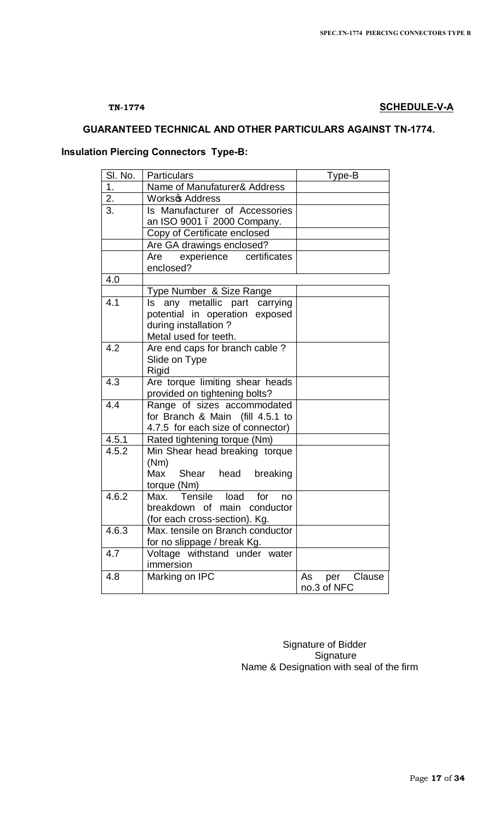# **TN-1774 SCHEDULE-V-A**

# **GUARANTEED TECHNICAL AND OTHER PARTICULARS AGAINST TN-1774.**

# **Insulation Piercing Connectors Type-B:**

| SI. No.          | <b>Particulars</b>                                      | Type-B                             |
|------------------|---------------------------------------------------------|------------------------------------|
| 1 <sub>1</sub>   | Name of Manufaturer& Address                            |                                    |
| 2.               | Worksc Address                                          |                                    |
| 3.               | Is Manufacturer of Accessories                          |                                    |
|                  | an ISO 9001 . 2000 Company.                             |                                    |
|                  | Copy of Certificate enclosed                            |                                    |
|                  | Are GA drawings enclosed?                               |                                    |
|                  | Are experience certificates                             |                                    |
|                  | enclosed?                                               |                                    |
| 4.0              |                                                         |                                    |
|                  | Type Number & Size Range                                |                                    |
| 4.1              | any metallic part carrying<br>ls                        |                                    |
|                  | potential in operation exposed                          |                                    |
|                  | during installation?                                    |                                    |
| 4.2              | Metal used for teeth.<br>Are end caps for branch cable? |                                    |
|                  | Slide on Type                                           |                                    |
|                  | Rigid                                                   |                                    |
| $\overline{4.3}$ | Are torque limiting shear heads                         |                                    |
|                  | provided on tightening bolts?                           |                                    |
| 4.4              | Range of sizes accommodated                             |                                    |
|                  | for Branch & Main (fill 4.5.1 to                        |                                    |
|                  | 4.7.5 for each size of connector)                       |                                    |
| 4.5.1            | Rated tightening torque (Nm)                            |                                    |
| 4.5.2            | Min Shear head breaking torque                          |                                    |
|                  | (Nm)                                                    |                                    |
|                  | Max<br>Shear head breaking                              |                                    |
|                  | torque (Nm)                                             |                                    |
| 4.6.2            | Max. Tensile load for<br>no                             |                                    |
|                  | breakdown of main conductor                             |                                    |
|                  | (for each cross-section). Kg.                           |                                    |
| 4.6.3            | Max. tensile on Branch conductor                        |                                    |
|                  | for no slippage / break Kg.                             |                                    |
| 4.7              | Voltage withstand under water                           |                                    |
|                  | immersion                                               |                                    |
| 4.8              | Marking on IPC                                          | Clause<br>As<br>per<br>no.3 of NFC |
|                  |                                                         |                                    |

 Signature of Bidder **Signature** Name & Designation with seal of the firm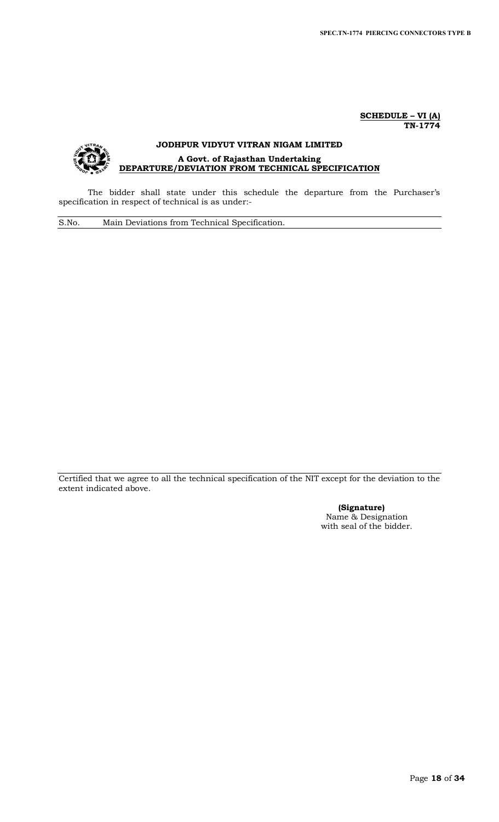**SCHEDULE – VI (A) TN-1774**

# **JODHPUR VIDYUT VITRAN NIGAM LIMITED A Govt. of Rajasthan Undertaking DEPARTURE/DEVIATION FROM TECHNICAL SPECIFICATION**

The bidder shall state under this schedule the departure from the Purchaser's specification in respect of technical is as under:-

S.No. Main Deviations from Technical Specification.

Certified that we agree to all the technical specification of the NIT except for the deviation to the extent indicated above.

> **(Signature)** Name & Designation with seal of the bidder.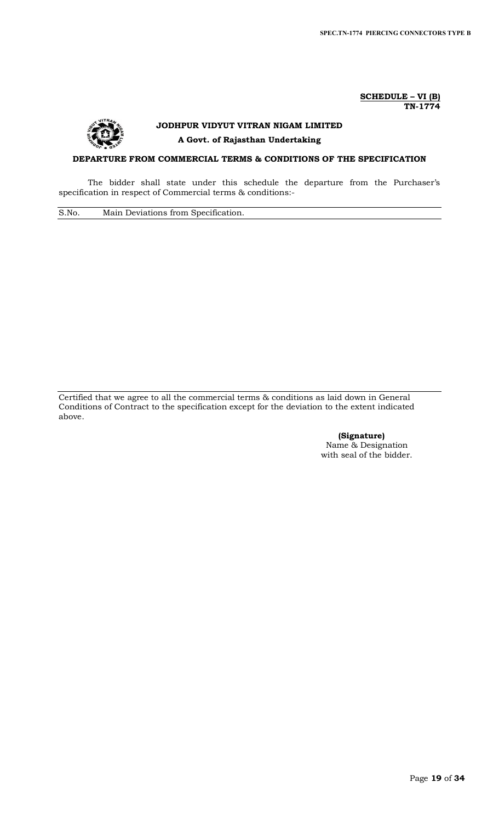### **SCHEDULE – VI (B) TN-1774**



# **JODHPUR VIDYUT VITRAN NIGAM LIMITED A Govt. of Rajasthan Undertaking**

# **DEPARTURE FROM COMMERCIAL TERMS & CONDITIONS OF THE SPECIFICATION**

The bidder shall state under this schedule the departure from the Purchaser's specification in respect of Commercial terms & conditions:-

S.No. Main Deviations from Specification.

Certified that we agree to all the commercial terms & conditions as laid down in General Conditions of Contract to the specification except for the deviation to the extent indicated above.

> **(Signature)** Name & Designation with seal of the bidder.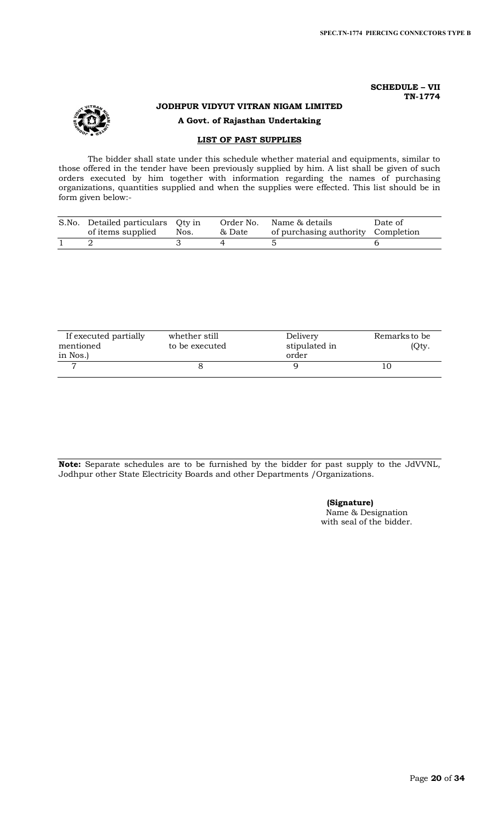## **SCHEDULE – VII TN-1774**

# **JODHPUR VIDYUT VITRAN NIGAM LIMITED A Govt. of Rajasthan Undertaking**

# **LIST OF PAST SUPPLIES**

The bidder shall state under this schedule whether material and equipments, similar to those offered in the tender have been previously supplied by him. A list shall be given of such orders executed by him together with information regarding the names of purchasing organizations, quantities supplied and when the supplies were effected. This list should be in form given below:-

| S.No. Detailed particulars Qty in<br>of items supplied | Nos. | Order No.<br>& Date | Name & details<br>of purchasing authority Completion | Date of |
|--------------------------------------------------------|------|---------------------|------------------------------------------------------|---------|
|                                                        |      |                     |                                                      |         |

| If executed partially<br>mentioned | whether still<br>to be executed | Delivery<br>stipulated in | Remarks to be<br>(Qty. |
|------------------------------------|---------------------------------|---------------------------|------------------------|
| in Nos.)                           |                                 | order                     |                        |
|                                    |                                 |                           |                        |

**Note:** Separate schedules are to be furnished by the bidder for past supply to the JdVVNL, Jodhpur other State Electricity Boards and other Departments /Organizations.

**(Signature)**

Name & Designation with seal of the bidder.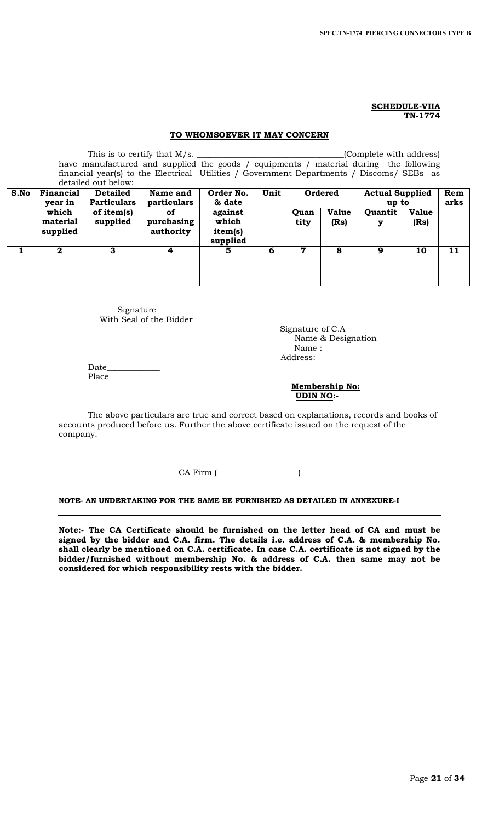### **SCHEDULE-VIIA TN-1774**

## **TO WHOMSOEVER IT MAY CONCERN**

|      |                               | detailed out below:                   | have manufactured and supplied the goods / equipments / material during the following<br>financial year(s) to the Electrical Utilities / Government Departments / Discoms / SEBs as |                                         |      |              |                      | (Complete with address)         |                      |             |
|------|-------------------------------|---------------------------------------|-------------------------------------------------------------------------------------------------------------------------------------------------------------------------------------|-----------------------------------------|------|--------------|----------------------|---------------------------------|----------------------|-------------|
| S.No | Financial<br>year in          | <b>Detailed</b><br><b>Particulars</b> | Name and<br>particulars                                                                                                                                                             | Order No.<br>& date                     | Unit |              | Ordered              | <b>Actual Supplied</b><br>up to |                      | Rem<br>arks |
|      | which<br>material<br>supplied | of item(s)<br>supplied                | of<br>purchasing<br>authority                                                                                                                                                       | against<br>which<br>item(s)<br>supplied |      | Quan<br>tity | <b>Value</b><br>(Rs) | Quantit<br>у                    | <b>Value</b><br>(Rs) |             |
|      | $\mathbf{2}$                  | 3                                     | 4                                                                                                                                                                                   | 5.                                      | 6    | $\mathbf 7$  | 8                    | 9                               | 10                   | 11          |
|      |                               |                                       |                                                                                                                                                                                     |                                         |      |              |                      |                                 |                      |             |
|      |                               |                                       |                                                                                                                                                                                     |                                         |      |              |                      |                                 |                      |             |
|      |                               |                                       |                                                                                                                                                                                     |                                         |      |              |                      |                                 |                      |             |

Signature With Seal of the Bidder

 Signature of C.A Name & Designation Name : Address:

Date\_\_\_\_\_\_\_\_\_\_\_\_\_ Place\_

 **Membership No: UDIN NO:-** 

The above particulars are true and correct based on explanations, records and books of accounts produced before us. Further the above certificate issued on the request of the company.

CA Firm (\_\_\_\_\_\_\_\_\_\_\_\_\_\_\_\_\_\_\_\_)

### **NOTE- AN UNDERTAKING FOR THE SAME BE FURNISHED AS DETAILED IN ANNEXURE-I**

**Note:- The CA Certificate should be furnished on the letter head of CA and must be signed by the bidder and C.A. firm. The details i.e. address of C.A. & membership No. shall clearly be mentioned on C.A. certificate. In case C.A. certificate is not signed by the bidder/furnished without membership No. & address of C.A. then same may not be considered for which responsibility rests with the bidder.**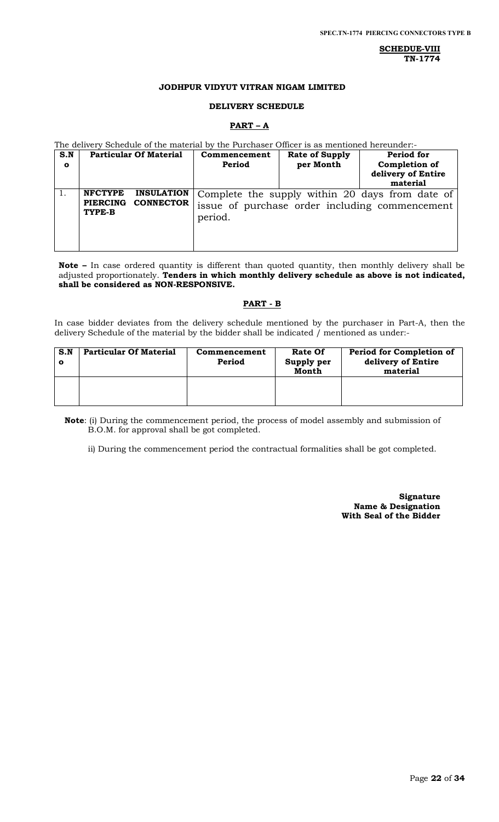**SCHEDUE-VIII TN-1774**

### **JODHPUR VIDYUT VITRAN NIGAM LIMITED**

### **DELIVERY SCHEDULE**

### **PART – A**

The delivery Schedule of the material by the Purchaser Officer is as mentioned hereunder:-

| S.N<br>$\mathbf{o}$ | <b>Particular Of Material</b>                                                        | Commencement<br>Period | <b>Rate of Supply</b><br>per Month | Period for<br>Completion of<br>delivery of Entire<br>material                                     |
|---------------------|--------------------------------------------------------------------------------------|------------------------|------------------------------------|---------------------------------------------------------------------------------------------------|
|                     | <b>NFCTYPE</b><br><b>INSULATION</b><br><b>CONNECTOR</b><br><b>PIERCING</b><br>TYPE-B | period.                |                                    | Complete the supply within 20 days from date of<br>issue of purchase order including commencement |

**Note –** In case ordered quantity is different than quoted quantity, then monthly delivery shall be adjusted proportionately. **Tenders in which monthly delivery schedule as above is not indicated, shall be considered as NON-RESPONSIVE.**

# **PART - B**

In case bidder deviates from the delivery schedule mentioned by the purchaser in Part-A, then the delivery Schedule of the material by the bidder shall be indicated  $\check{I}$  mentioned as under:-

| S.N | <b>Particular Of Material</b> | Commencement<br>Period | <b>Rate Of</b><br>Supply per<br>Month | Period for Completion of<br>delivery of Entire<br>material |
|-----|-------------------------------|------------------------|---------------------------------------|------------------------------------------------------------|
|     |                               |                        |                                       |                                                            |

**Note**: (i) During the commencement period, the process of model assembly and submission of B.O.M. for approval shall be got completed.

ii) During the commencement period the contractual formalities shall be got completed.

**Signature Name & Designation With Seal of the Bidder**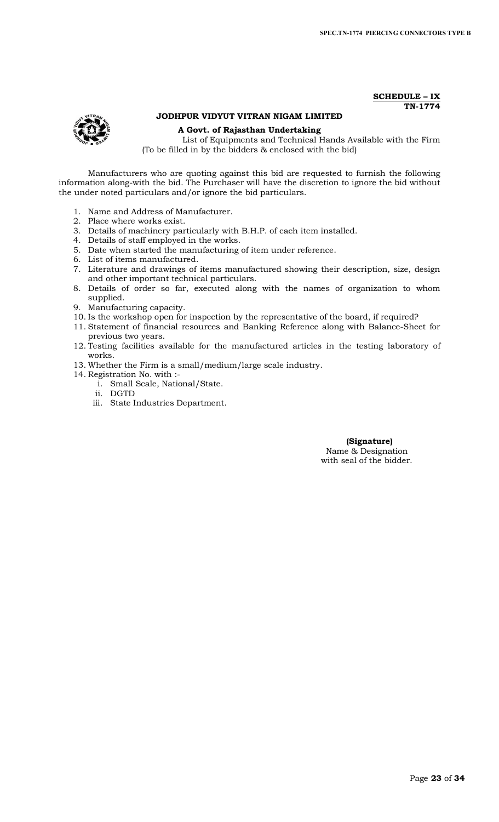### **SCHEDULE – IX TN-1774**



# **JODHPUR VIDYUT VITRAN NIGAM LIMITED**

## **A Govt. of Rajasthan Undertaking**

List of Equipments and Technical Hands Available with the Firm (To be filled in by the bidders & enclosed with the bid)

Manufacturers who are quoting against this bid are requested to furnish the following information along-with the bid. The Purchaser will have the discretion to ignore the bid without the under noted particulars and/or ignore the bid particulars.

- 1. Name and Address of Manufacturer.
- 2. Place where works exist.
- 3. Details of machinery particularly with B.H.P. of each item installed.
- 4. Details of staff employed in the works.
- 5. Date when started the manufacturing of item under reference.
- 6. List of items manufactured.
- 7. Literature and drawings of items manufactured showing their description, size, design and other important technical particulars.
- 8. Details of order so far, executed along with the names of organization to whom supplied.
- 9. Manufacturing capacity.
- 10. Is the workshop open for inspection by the representative of the board, if required?
- 11. Statement of financial resources and Banking Reference along with Balance-Sheet for previous two years.
- 12. Testing facilities available for the manufactured articles in the testing laboratory of works.
- 13. Whether the Firm is a small/medium/large scale industry.
- 14. Registration No. with :
	- i. Small Scale, National/State.
	- ii. DGTD
	- iii. State Industries Department.

### **(Signature)** Name & Designation with seal of the bidder.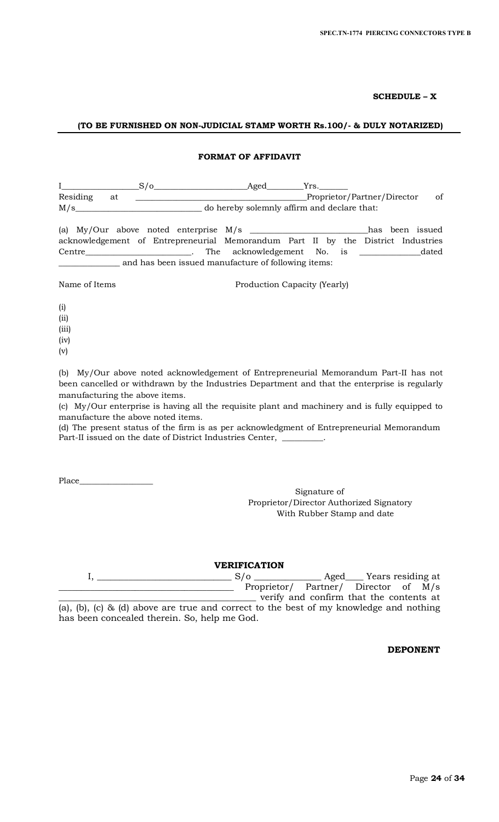# **SCHEDULE – X**

# **(TO BE FURNISHED ON NON-JUDICIAL STAMP WORTH Rs.100/- & DULY NOTARIZED)**

## **FORMAT OF AFFIDAVIT**

|          |    | Aged                                        |    |
|----------|----|---------------------------------------------|----|
| Residing | at | Proprietor/Partner/Director                 | of |
| M/s      |    | do hereby solemnly affirm and declare that: |    |

|                                                     |                                                     |  |  |  | (a) $My/Our$ above noted enterprise $M/s$                                        |  |  |  |  | has been issued |
|-----------------------------------------------------|-----------------------------------------------------|--|--|--|----------------------------------------------------------------------------------|--|--|--|--|-----------------|
|                                                     |                                                     |  |  |  | acknowledgement of Entrepreneurial Memorandum Part II by the District Industries |  |  |  |  |                 |
| Centre                                              | the contract of the contract of the contract of the |  |  |  | The acknowledgement No. is                                                       |  |  |  |  | dated           |
| and has been issued manufacture of following items: |                                                     |  |  |  |                                                                                  |  |  |  |  |                 |

Name of Items Production Capacity (Yearly)

- (i) (ii)
- (iii)
- (iv)
- (v)

(b) My/Our above noted acknowledgement of Entrepreneurial Memorandum Part-II has not been cancelled or withdrawn by the Industries Department and that the enterprise is regularly manufacturing the above items.

(c) My/Our enterprise is having all the requisite plant and machinery and is fully equipped to manufacture the above noted items.

(d) The present status of the firm is as per acknowledgment of Entrepreneurial Memorandum Part-II issued on the date of District Industries Center, \_\_\_\_\_\_\_\_

Place\_

Signature of Proprietor/Director Authorized Signatory With Rubber Stamp and date

**VERIFICATION**

I, \_\_\_\_\_\_\_\_\_\_\_\_\_\_\_\_\_\_\_\_\_\_\_\_\_\_\_\_\_\_ S/o \_\_\_\_\_\_\_\_\_\_\_\_\_\_\_ Aged\_\_\_\_ Years residing at Proprietor/ Partner/ Director of M/s \_\_\_\_\_\_\_\_\_\_\_\_\_\_\_\_\_\_\_\_\_\_\_\_\_\_\_\_\_\_\_\_\_\_\_\_\_\_\_\_\_\_\_\_ verify and confirm that the contents at (a), (b), (c) & (d) above are true and correct to the best of my knowledge and nothing has been concealed therein. So, help me God.

# **DEPONENT**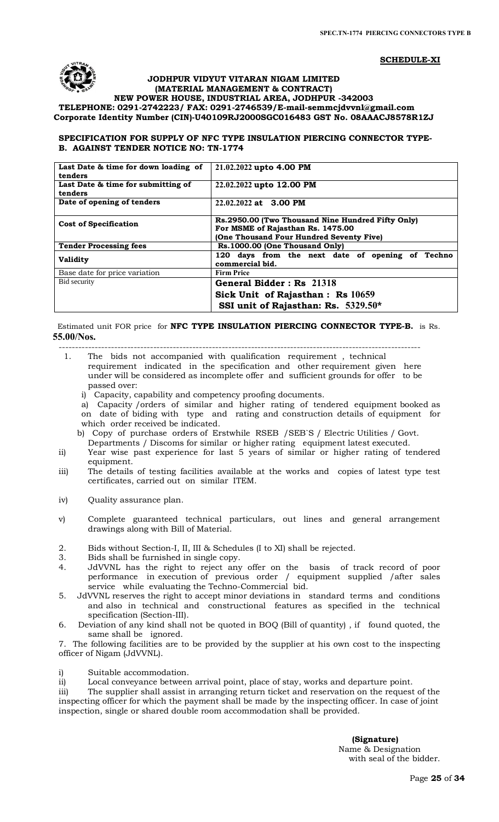### **SCHEDULE-XI**



### **JODHPUR VIDYUT VITARAN NIGAM LIMITED (MATERIAL MANAGEMENT & CONTRACT)**

### **NEW POWER HOUSE, INDUSTRIAL AREA, JODHPUR -342003 TELEPHONE: 0291-2742223/ FAX: 0291-2746539/E-mail-[semmcjdvvnl@gmail.com](mailto:semmcjdvvnl@gmail.com) Corporate Identity Number (CIN)-U40109RJ2000SGC016483 GST No. 08AAACJ8578R1ZJ**

## **SPECIFICATION FOR SUPPLY OF NFC TYPE INSULATION PIERCING CONNECTOR TYPE-B. AGAINST TENDER NOTICE NO: TN-1774**

| Last Date & time for down loading of | 21.02.2022 upto 4.00 PM                           |  |  |  |  |  |  |  |
|--------------------------------------|---------------------------------------------------|--|--|--|--|--|--|--|
| tenders                              |                                                   |  |  |  |  |  |  |  |
| Last Date & time for submitting of   | 22.02.2022 upto 12.00 PM                          |  |  |  |  |  |  |  |
| tenders                              |                                                   |  |  |  |  |  |  |  |
| Date of opening of tenders           | 22.02.2022 at 3.00 PM                             |  |  |  |  |  |  |  |
|                                      |                                                   |  |  |  |  |  |  |  |
| <b>Cost of Specification</b>         | Rs.2950.00 (Two Thousand Nine Hundred Fifty Only) |  |  |  |  |  |  |  |
|                                      | For MSME of Rajasthan Rs. 1475.00                 |  |  |  |  |  |  |  |
|                                      | (One Thousand Four Hundred Seventy Five)          |  |  |  |  |  |  |  |
| <b>Tender Processing fees</b>        | Rs.1000.00 (One Thousand Only)                    |  |  |  |  |  |  |  |
| <b>Validity</b>                      | 120 days from the next date of opening of Techno  |  |  |  |  |  |  |  |
|                                      | commercial bid.                                   |  |  |  |  |  |  |  |
| Base date for price variation        | <b>Firm Price</b>                                 |  |  |  |  |  |  |  |
| Bid security                         | General Bidder: Rs 21318                          |  |  |  |  |  |  |  |
|                                      | Sick Unit of Rajasthan: Rs 10659                  |  |  |  |  |  |  |  |
|                                      | SSI unit of Rajasthan: Rs. 5329.50*               |  |  |  |  |  |  |  |

 Estimated unit FOR price for **NFC TYPE INSULATION PIERCING CONNECTOR TYPE-B.** is Rs. **55.00/Nos.**

--------------------------------------------------------------------------------------------------------------- 1. The bids not accompanied with qualification requirement , technical requirement indicated in the specification and other requirement given here

- under will be considered as incomplete offer and sufficient grounds for offer to be passed over:
	- i) Capacity, capability and competency proofing documents.

a) Capacity /orders of similar and higher rating of tendered equipment booked as on date of biding with type and rating and construction details of equipment for which order received be indicated.

b) Copy of purchase orders of Erstwhile RSEB /SEB`S / Electric Utilities / Govt. Departments / Discoms for similar or higher rating equipment latest executed.

- ii) Year wise past experience for last 5 years of similar or higher rating of tendered equipment.
- iii) The details of testing facilities available at the works and copies of latest type test certificates, carried out on similar ITEM.
- iv) Quality assurance plan.
- v) Complete guaranteed technical particulars, out lines and general arrangement drawings along with Bill of Material.
- 2. Bids without Section-I, II, III & Schedules (I to XI) shall be rejected.<br>3. Bids shall be furnished in single copy.
- Bids shall be furnished in single copy.
- 4. JdVVNL has the right to reject any offer on the basis of track record of poor performance in execution of previous order / equipment supplied /after sales service while evaluating the Techno-Commercial bid.
- 5. JdVVNL reserves the right to accept minor deviations in standard terms and conditions and also in technical and constructional features as specified in the technical specification (Section-III).
- 6. Deviation of any kind shall not be quoted in BOQ (Bill of quantity) , if found quoted, the same shall be ignored.

7. The following facilities are to be provided by the supplier at his own cost to the inspecting officer of Nigam (JdVVNL).

i) Suitable accommodation.

ii) Local conveyance between arrival point, place of stay, works and departure point.

iii) The supplier shall assist in arranging return ticket and reservation on the request of the inspecting officer for which the payment shall be made by the inspecting officer. In case of joint inspection, single or shared double room accommodation shall be provided.

 **(Signature)**

 Name & Designation with seal of the bidder.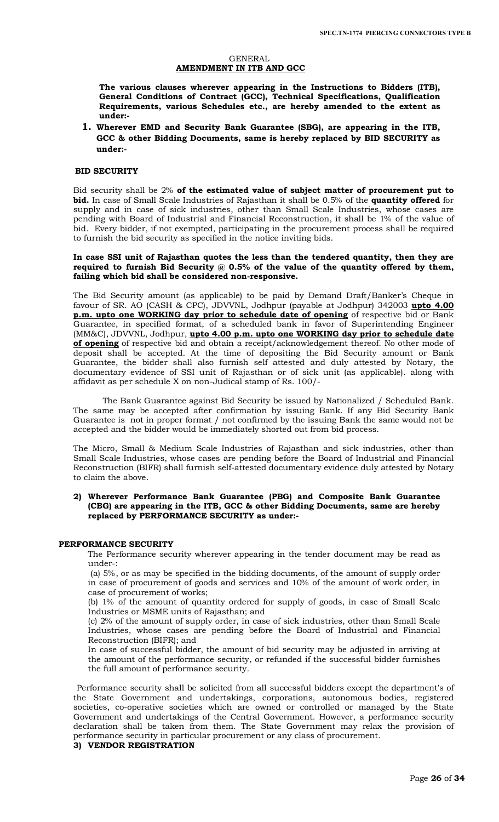### GENERAL **AMENDMENT IN ITB AND GCC**

**The various clauses wherever appearing in the Instructions to Bidders (ITB), General Conditions of Contract (GCC), Technical Specifications, Qualification Requirements, various Schedules etc., are hereby amended to the extent as under:-**

**1. Wherever EMD and Security Bank Guarantee (SBG), are appearing in the ITB, GCC & other Bidding Documents, same is hereby replaced by BID SECURITY as under:-**

### **BID SECURITY**

Bid security shall be 2% **of the estimated value of subject matter of procurement put to bid.** In case of Small Scale Industries of Rajasthan it shall be 0.5% of the **quantity offered** for supply and in case of sick industries, other than Small Scale Industries, whose cases are pending with Board of Industrial and Financial Reconstruction, it shall be 1% of the value of bid. Every bidder, if not exempted, participating in the procurement process shall be required to furnish the bid security as specified in the notice inviting bids.

**In case SSI unit of Rajasthan quotes the less than the tendered quantity, then they are required to furnish Bid Security @ 0.5% of the value of the quantity offered by them, failing which bid shall be considered non-responsive.** 

The Bid Security amount (as applicable) to be paid by Demand Draft/Banker's Cheque in favour of SR. AO (CASH & CPC), JDVVNL, Jodhpur (payable at Jodhpur) 342003 **upto 4.00 p.m. upto one WORKING day prior to schedule date of opening** of respective bid or Bank Guarantee, in specified format, of a scheduled bank in favor of Superintending Engineer (MM&C), JDVVNL, Jodhpur, **upto 4.00 p.m. upto one WORKING day prior to schedule date of opening** of respective bid and obtain a receipt/acknowledgement thereof. No other mode of deposit shall be accepted. At the time of depositing the Bid Security amount or Bank Guarantee, the bidder shall also furnish self attested and duly attested by Notary, the documentary evidence of SSI unit of Rajasthan or of sick unit (as applicable). along with affidavit as per schedule X on non-Judical stamp of Rs. 100/-

The Bank Guarantee against Bid Security be issued by Nationalized / Scheduled Bank. The same may be accepted after confirmation by issuing Bank. If any Bid Security Bank Guarantee is not in proper format / not confirmed by the issuing Bank the same would not be accepted and the bidder would be immediately shorted out from bid process.

The Micro, Small & Medium Scale Industries of Rajasthan and sick industries, other than Small Scale Industries, whose cases are pending before the Board of Industrial and Financial Reconstruction (BIFR) shall furnish self-attested documentary evidence duly attested by Notary to claim the above.

### **2) Wherever Performance Bank Guarantee (PBG) and Composite Bank Guarantee (CBG) are appearing in the ITB, GCC & other Bidding Documents, same are hereby replaced by PERFORMANCE SECURITY as under:-**

### **PERFORMANCE SECURITY**

The Performance security wherever appearing in the tender document may be read as under-:

(a) 5%, or as may be specified in the bidding documents, of the amount of supply order in case of procurement of goods and services and 10% of the amount of work order, in case of procurement of works;

(b) 1% of the amount of quantity ordered for supply of goods, in case of Small Scale Industries or MSME units of Rajasthan; and

(c) 2% of the amount of supply order, in case of sick industries, other than Small Scale Industries, whose cases are pending before the Board of Industrial and Financial Reconstruction (BIFR); and

In case of successful bidder, the amount of bid security may be adjusted in arriving at the amount of the performance security, or refunded if the successful bidder furnishes the full amount of performance security.

 Performance security shall be solicited from all successful bidders except the department's of the State Government and undertakings, corporations, autonomous bodies, registered societies, co-operative societies which are owned or controlled or managed by the State Government and undertakings of the Central Government. However, a performance security declaration shall be taken from them. The State Government may relax the provision of performance security in particular procurement or any class of procurement.

**3) VENDOR REGISTRATION**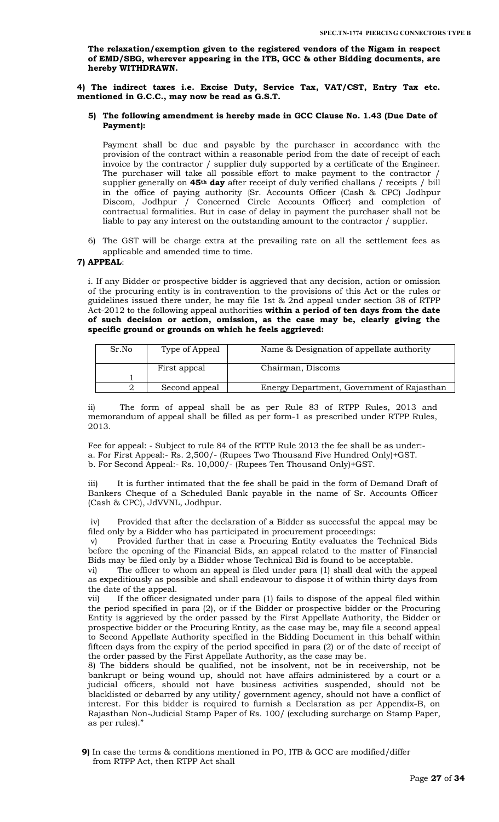**The relaxation/exemption given to the registered vendors of the Nigam in respect of EMD/SBG, wherever appearing in the ITB, GCC & other Bidding documents, are hereby WITHDRAWN.** 

**4) The indirect taxes i.e. Excise Duty, Service Tax, VAT/CST, Entry Tax etc. mentioned in G.C.C., may now be read as G.S.T.** 

### **5) The following amendment is hereby made in GCC Clause No. 1.43 (Due Date of Payment):**

Payment shall be due and payable by the purchaser in accordance with the provision of the contract within a reasonable period from the date of receipt of each invoice by the contractor / supplier duly supported by a certificate of the Engineer. The purchaser will take all possible effort to make payment to the contractor / supplier generally on **45th day** after receipt of duly verified challans / receipts / bill in the office of paying authority {Sr. Accounts Officer (Cash & CPC) Jodhpur Discom, Jodhpur / Concerned Circle Accounts Officer} and completion of contractual formalities. But in case of delay in payment the purchaser shall not be liable to pay any interest on the outstanding amount to the contractor / supplier.

6) The GST will be charge extra at the prevailing rate on all the settlement fees as applicable and amended time to time.

### **7) APPEAL**:

i. If any Bidder or prospective bidder is aggrieved that any decision, action or omission of the procuring entity is in contravention to the provisions of this Act or the rules or guidelines issued there under, he may file 1st & 2nd appeal under section 38 of RTPP Act-2012 to the following appeal authorities **within a period of ten days from the date of such decision or action, omission, as the case may be, clearly giving the specific ground or grounds on which he feels aggrieved:** 

| Sr.No | Type of Appeal | Name & Designation of appellate authority  |  |  |  |  |
|-------|----------------|--------------------------------------------|--|--|--|--|
|       | First appeal   | Chairman, Discoms                          |  |  |  |  |
|       |                |                                            |  |  |  |  |
|       | Second appeal  | Energy Department, Government of Rajasthan |  |  |  |  |

ii) The form of appeal shall be as per Rule 83 of RTPP Rules, 2013 and memorandum of appeal shall be filled as per form-1 as prescribed under RTPP Rules, 2013.

Fee for appeal: - Subject to rule 84 of the RTTP Rule 2013 the fee shall be as under: a. For First Appeal:- Rs. 2,500/- (Rupees Two Thousand Five Hundred Only)+GST. b. For Second Appeal:- Rs. 10,000/- (Rupees Ten Thousand Only)+GST.

iii) It is further intimated that the fee shall be paid in the form of Demand Draft of Bankers Cheque of a Scheduled Bank payable in the name of Sr. Accounts Officer (Cash & CPC), JdVVNL, Jodhpur.

iv) Provided that after the declaration of a Bidder as successful the appeal may be filed only by a Bidder who has participated in procurement proceedings:

Provided further that in case a Procuring Entity evaluates the Technical Bids before the opening of the Financial Bids, an appeal related to the matter of Financial Bids may be filed only by a Bidder whose Technical Bid is found to be acceptable.

vi) The officer to whom an appeal is filed under para (1) shall deal with the appeal as expeditiously as possible and shall endeavour to dispose it of within thirty days from the date of the appeal.

vii) If the officer designated under para (1) fails to dispose of the appeal filed within the period specified in para (2), or if the Bidder or prospective bidder or the Procuring Entity is aggrieved by the order passed by the First Appellate Authority, the Bidder or prospective bidder or the Procuring Entity, as the case may be, may file a second appeal to Second Appellate Authority specified in the Bidding Document in this behalf within fifteen days from the expiry of the period specified in para (2) or of the date of receipt of the order passed by the First Appellate Authority, as the case may be.

8) The bidders should be qualified, not be insolvent, not be in receivership, not be bankrupt or being wound up, should not have affairs administered by a court or a judicial officers, should not have business activities suspended, should not be blacklisted or debarred by any utility/ government agency, should not have a conflict of interest. For this bidder is required to furnish a Declaration as per Appendix-B, on Rajasthan Non-Judicial Stamp Paper of Rs. 100/ (excluding surcharge on Stamp Paper, as per rules)."

**9)** In case the terms & conditions mentioned in PO, ITB & GCC are modified/differ from RTPP Act, then RTPP Act shall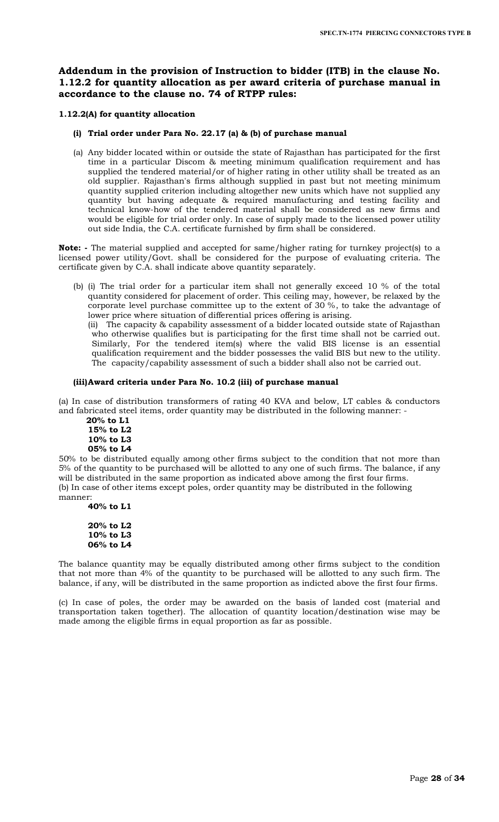# **Addendum in the provision of Instruction to bidder (ITB) in the clause No. 1.12.2 for quantity allocation as per award criteria of purchase manual in accordance to the clause no. 74 of RTPP rules:**

# **1.12.2(A) for quantity allocation**

## **(i) Trial order under Para No. 22.17 (a) & (b) of purchase manual**

(a) Any bidder located within or outside the state of Rajasthan has participated for the first time in a particular Discom & meeting minimum qualification requirement and has supplied the tendered material/or of higher rating in other utility shall be treated as an old supplier. Rajasthan's firms although supplied in past but not meeting minimum quantity supplied criterion including altogether new units which have not supplied any quantity but having adequate & required manufacturing and testing facility and technical know-how of the tendered material shall be considered as new firms and would be eligible for trial order only. In case of supply made to the licensed power utility out side India, the C.A. certificate furnished by firm shall be considered.

**Note: -** The material supplied and accepted for same/higher rating for turnkey project(s) to a licensed power utility/Govt. shall be considered for the purpose of evaluating criteria. The certificate given by C.A. shall indicate above quantity separately.

(b) (i) The trial order for a particular item shall not generally exceed 10 % of the total quantity considered for placement of order. This ceiling may, however, be relaxed by the corporate level purchase committee up to the extent of 30 %, to take the advantage of lower price where situation of differential prices offering is arising.

(ii) The capacity & capability assessment of a bidder located outside state of Rajasthan who otherwise qualifies but is participating for the first time shall not be carried out. Similarly, For the tendered item(s) where the valid BIS license is an essential qualification requirement and the bidder possesses the valid BIS but new to the utility. The capacity/capability assessment of such a bidder shall also not be carried out.

## **(iii)Award criteria under Para No. 10.2 (iii) of purchase manual**

(a) In case of distribution transformers of rating 40 KVA and below, LT cables & conductors and fabricated steel items, order quantity may be distributed in the following manner: -

 **20% to L1 15% to L2 10% to L3 05% to L4**

50% to be distributed equally among other firms subject to the condition that not more than 5% of the quantity to be purchased will be allotted to any one of such firms. The balance, if any will be distributed in the same proportion as indicated above among the first four firms. (b) In case of other items except poles, order quantity may be distributed in the following manner:

**40% to L1**

**20% to L2 10% to L3 06% to L4**

The balance quantity may be equally distributed among other firms subject to the condition that not more than 4% of the quantity to be purchased will be allotted to any such firm. The balance, if any, will be distributed in the same proportion as indicted above the first four firms.

(c) In case of poles, the order may be awarded on the basis of landed cost (material and transportation taken together). The allocation of quantity location/destination wise may be made among the eligible firms in equal proportion as far as possible.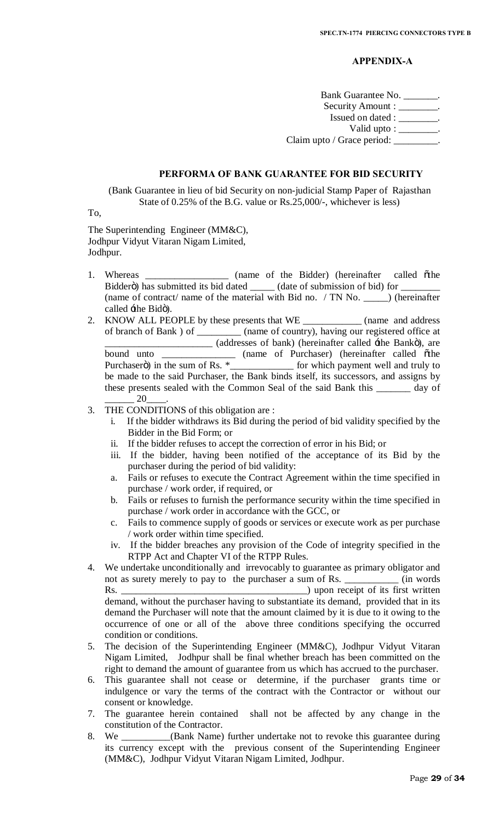# **APPENDIX-A**

Bank Guarantee No. \_\_\_\_\_\_\_. Security Amount : \_\_\_\_\_\_\_\_. Issued on dated : \_\_\_\_\_\_\_\_. Valid upto :  $\_\_\_\_\_\_\_\_\$ . Claim upto / Grace period: \_\_\_\_\_\_\_\_\_.

# **PERFORMA OF BANK GUARANTEE FOR BID SECURITY**

(Bank Guarantee in lieu of bid Security on non-judicial Stamp Paper of Rajasthan State of 0.25% of the B.G. value or Rs.25,000/-, whichever is less)

To,

The Superintending Engineer (MM&C), Jodhpur Vidyut Vitaran Nigam Limited, Jodhpur.

- 1. Whereas \_\_\_\_\_\_\_\_\_\_\_\_\_\_\_\_\_\_ (name of the Bidder) (hereinafter called othe Bidderö) has submitted its bid dated \_\_\_\_\_\_\_ (date of submission of bid) for \_ (name of contract/ name of the material with Bid no. / TN No. \_\_\_\_\_) (hereinafter called  $\pm$ he Bidö).
- 2. KNOW ALL PEOPLE by these presents that WE \_\_\_\_\_\_\_\_\_\_\_\_ (name and address of branch of Bank ) of \_\_\_\_\_\_\_\_\_ (name of country), having our registered office at \_\_\_\_\_\_\_\_\_\_\_\_\_\_\_\_\_\_\_\_\_\_ (addresses of bank) (hereinafter called 'the Bank"), are bound unto \_\_\_\_\_\_\_\_\_\_\_\_\_\_\_ (name of Purchaser) (hereinafter called other Purchaserö) in the sum of Rs. \*\_\_\_\_\_\_\_\_\_\_\_\_\_\_\_ for which payment well and truly to be made to the said Purchaser, the Bank binds itself, its successors, and assigns by these presents sealed with the Common Seal of the said Bank this \_\_\_\_\_\_\_ day of \_\_\_\_\_\_ 20\_\_\_\_.
- 3. THE CONDITIONS of this obligation are :
	- i. If the bidder withdraws its Bid during the period of bid validity specified by the Bidder in the Bid Form; or
	- ii. If the bidder refuses to accept the correction of error in his Bid; or
	- iii. If the bidder, having been notified of the acceptance of its Bid by the purchaser during the period of bid validity:
	- a. Fails or refuses to execute the Contract Agreement within the time specified in purchase / work order, if required, or
	- b. Fails or refuses to furnish the performance security within the time specified in purchase / work order in accordance with the GCC, or
	- c. Fails to commence supply of goods or services or execute work as per purchase / work order within time specified.
	- iv. If the bidder breaches any provision of the Code of integrity specified in the RTPP Act and Chapter VI of the RTPP Rules.
- 4. We undertake unconditionally and irrevocably to guarantee as primary obligator and not as surety merely to pay to the purchaser a sum of Rs. \_\_\_\_\_\_\_\_\_\_\_ (in words Rs. \_\_\_\_\_\_\_\_\_\_\_\_\_\_\_\_\_\_\_\_\_\_\_\_\_\_\_\_\_\_\_\_\_\_\_\_\_\_) upon receipt of its first written demand, without the purchaser having to substantiate its demand, provided that in its demand the Purchaser will note that the amount claimed by it is due to it owing to the occurrence of one or all of the above three conditions specifying the occurred condition or conditions.
- 5. The decision of the Superintending Engineer (MM&C), Jodhpur Vidyut Vitaran Nigam Limited, Jodhpur shall be final whether breach has been committed on the right to demand the amount of guarantee from us which has accrued to the purchaser.
- 6. This guarantee shall not cease or determine, if the purchaser grants time or indulgence or vary the terms of the contract with the Contractor or without our consent or knowledge.
- 7. The guarantee herein contained shall not be affected by any change in the constitution of the Contractor.
- 8. We \_\_\_\_\_\_\_\_\_\_(Bank Name) further undertake not to revoke this guarantee during its currency except with the previous consent of the Superintending Engineer (MM&C), Jodhpur Vidyut Vitaran Nigam Limited, Jodhpur.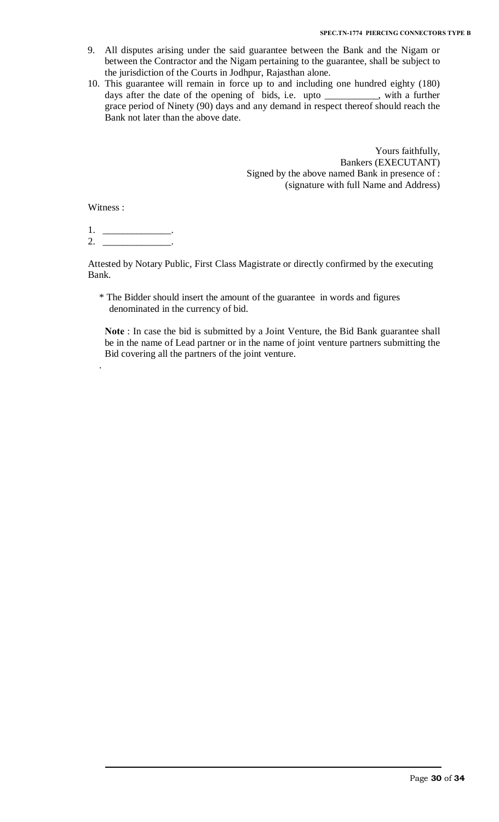- 9. All disputes arising under the said guarantee between the Bank and the Nigam or between the Contractor and the Nigam pertaining to the guarantee, shall be subject to the jurisdiction of the Courts in Jodhpur, Rajasthan alone.
- 10. This guarantee will remain in force up to and including one hundred eighty (180) days after the date of the opening of bids, i.e. upto \_\_\_\_\_\_\_\_\_\_\_, with a further grace period of Ninety (90) days and any demand in respect thereof should reach the Bank not later than the above date.

Yours faithfully, Bankers (EXECUTANT) Signed by the above named Bank in presence of : (signature with full Name and Address)

Witness :

.

1. \_\_\_\_\_\_\_\_\_\_\_\_\_\_.  $2.$ 

Attested by Notary Public, First Class Magistrate or directly confirmed by the executing Bank.

\* The Bidder should insert the amount of the guarantee in words and figures denominated in the currency of bid.

**Note** : In case the bid is submitted by a Joint Venture, the Bid Bank guarantee shall be in the name of Lead partner or in the name of joint venture partners submitting the Bid covering all the partners of the joint venture.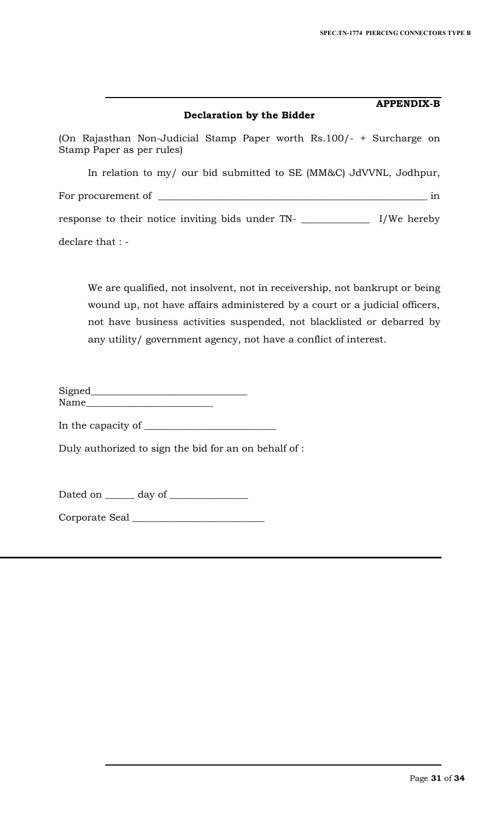# **Declaration by the Bidder**

**APPENDIX-B**

(On Rajasthan Non-Judicial Stamp Paper worth Rs.100/- + Surcharge on Stamp Paper as per rules)

In relation to my/ our bid submitted to SE (MM&C) JdVVNL, Jodhpur, For procurement of \_\_\_\_\_\_\_\_\_\_\_\_\_\_\_\_\_\_\_\_\_\_\_\_\_\_\_\_\_\_\_\_\_\_\_\_\_\_\_\_\_\_\_\_\_\_\_\_\_\_\_\_\_\_\_ in response to their notice inviting bids under TN- \_\_\_\_\_\_\_\_\_\_\_\_\_\_ I/We hereby declare that : -

We are qualified, not insolvent, not in receivership, not bankrupt or being wound up, not have affairs administered by a court or a judicial officers, not have business activities suspended, not blacklisted or debarred by any utility/ government agency, not have a conflict of interest.

Signed\_\_\_\_\_\_\_\_\_\_\_\_\_\_\_\_\_\_\_\_\_\_\_\_\_\_\_\_\_\_\_\_ Name\_\_\_\_\_\_\_\_\_\_\_\_\_\_\_\_\_\_\_\_\_\_\_\_\_\_

In the capacity of \_\_\_\_\_\_\_\_\_\_\_\_\_\_\_\_\_\_\_\_\_\_\_\_\_\_\_

Duly authorized to sign the bid for an on behalf of :

Dated on \_\_\_\_\_\_ day of \_\_\_\_\_\_\_\_\_\_\_\_\_\_\_\_

Corporate Seal \_\_\_\_\_\_\_\_\_\_\_\_\_\_\_\_\_\_\_\_\_\_\_\_\_\_\_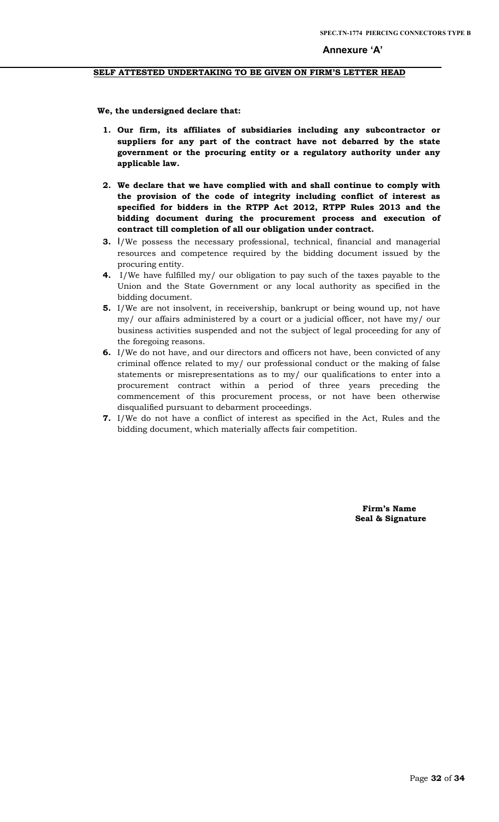# **SELF ATTESTED UNDERTAKING TO BE GIVEN ON FIRM'S LETTER HEAD**

 **We, the undersigned declare that:**

- **1. Our firm, its affiliates of subsidiaries including any subcontractor or suppliers for any part of the contract have not debarred by the state government or the procuring entity or a regulatory authority under any applicable law.**
- **2. We declare that we have complied with and shall continue to comply with the provision of the code of integrity including conflict of interest as specified for bidders in the RTPP Act 2012, RTPP Rules 2013 and the bidding document during the procurement process and execution of contract till completion of all our obligation under contract.**
- **3.** I/We possess the necessary professional, technical, financial and managerial resources and competence required by the bidding document issued by the procuring entity.
- **4.** I/We have fulfilled my/ our obligation to pay such of the taxes payable to the Union and the State Government or any local authority as specified in the bidding document.
- **5.** I/We are not insolvent, in receivership, bankrupt or being wound up, not have my/ our affairs administered by a court or a judicial officer, not have my/ our business activities suspended and not the subject of legal proceeding for any of the foregoing reasons.
- **6.** I/We do not have, and our directors and officers not have, been convicted of any criminal offence related to my/ our professional conduct or the making of false statements or misrepresentations as to my/ our qualifications to enter into a procurement contract within a period of three years preceding the commencement of this procurement process, or not have been otherwise disqualified pursuant to debarment proceedings.
- **7.** I/We do not have a conflict of interest as specified in the Act, Rules and the bidding document, which materially affects fair competition.

 **Firm's Name Seal & Signature**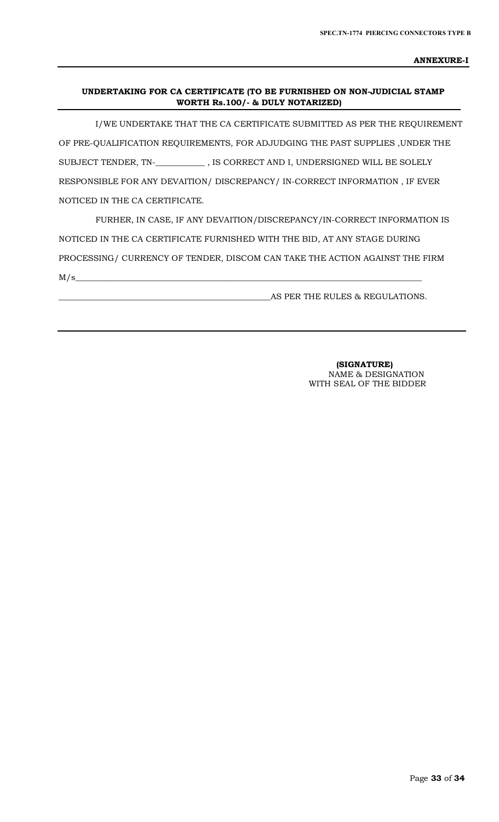**ANNEXURE-I**

# **UNDERTAKING FOR CA CERTIFICATE (TO BE FURNISHED ON NON-JUDICIAL STAMP WORTH Rs.100/- & DULY NOTARIZED)**

 I/WE UNDERTAKE THAT THE CA CERTIFICATE SUBMITTED AS PER THE REQUIREMENT OF PRE-QUALIFICATION REQUIREMENTS, FOR ADJUDGING THE PAST SUPPLIES ,UNDER THE SUBJECT TENDER, TN-\_**\_\_\_\_\_\_\_\_\_\_\_** , IS CORRECT AND I, UNDERSIGNED WILL BE SOLELY RESPONSIBLE FOR ANY DEVAITION/ DISCREPANCY/ IN-CORRECT INFORMATION , IF EVER NOTICED IN THE CA CERTIFICATE.

 FURHER, IN CASE, IF ANY DEVAITION/DISCREPANCY/IN-CORRECT INFORMATION IS NOTICED IN THE CA CERTIFICATE FURNISHED WITH THE BID, AT ANY STAGE DURING PROCESSING/ CURRENCY OF TENDER, DISCOM CAN TAKE THE ACTION AGAINST THE FIRM  $M/s$   $\sim$ 

AS PER THE RULES & REGULATIONS.

 **(SIGNATURE)** NAME & DESIGNATION WITH SEAL OF THE BIDDER